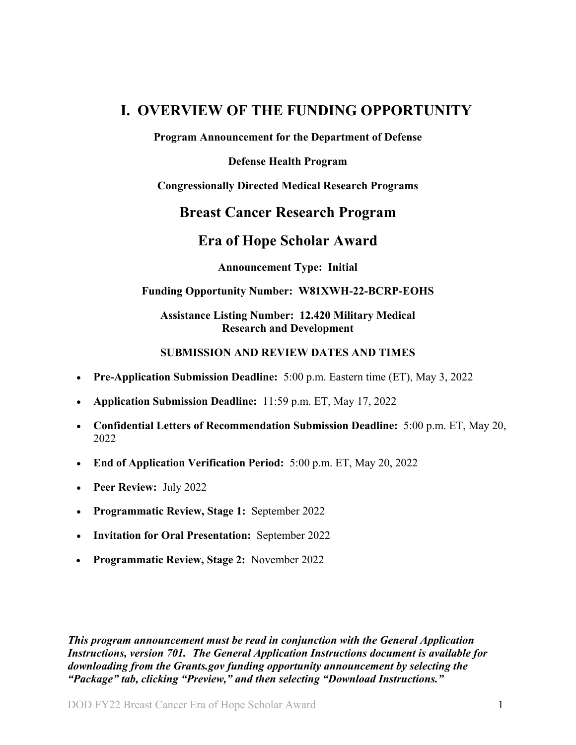## <span id="page-0-0"></span>**I. OVERVIEW OF THE FUNDING OPPORTUNITY**

**Program Announcement for the Department of Defense**

#### **Defense Health Program**

#### **Congressionally Directed Medical Research Programs**

### **Breast Cancer Research Program**

## **Era of Hope Scholar Award**

**Announcement Type: Initial**

#### **Funding Opportunity Number: W81XWH-22-BCRP-EOHS**

#### **Assistance Listing Number: 12.420 Military Medical Research and Development**

#### **SUBMISSION AND REVIEW DATES AND TIMES**

- <span id="page-0-1"></span>• **Pre-Application Submission Deadline:** 5:00 p.m. Eastern time (ET), May 3, 2022
- **Application Submission Deadline:** 11:59 p.m. ET, May 17, 2022
- **Confidential Letters of Recommendation Submission Deadline:** 5:00 p.m. ET, May 20, 2022
- **End of Application Verification Period:** 5:00 p.m. ET, May 20, 2022
- **Peer Review:** July 2022
- **Programmatic Review, Stage 1:** September 2022
- **Invitation for Oral Presentation:** September 2022
- **Programmatic Review, Stage 2:** November 2022

*This program announcement must be read in conjunction with the General Application Instructions, version 701.**The General Application Instructions document is available for downloading from the Grants.gov funding opportunity announcement by selecting the "Package" tab, clicking "Preview," and then selecting "Download Instructions."*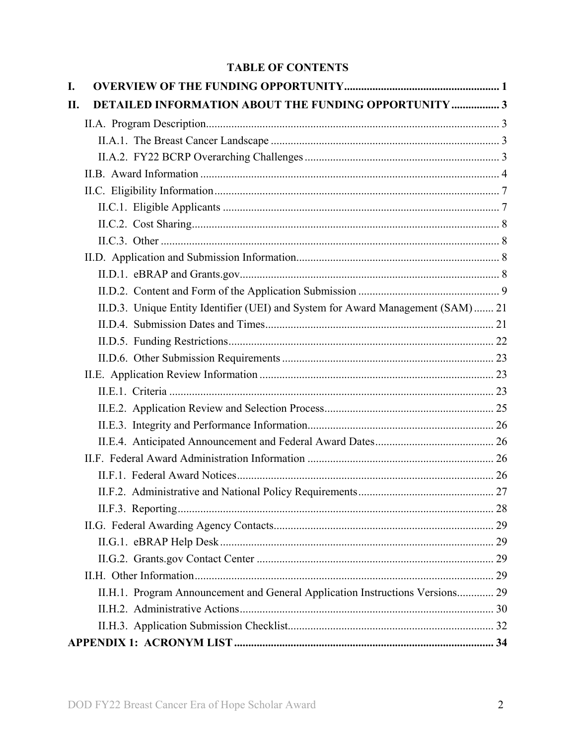### **TABLE OF CONTENTS**

| I.  |                                                                                  |  |
|-----|----------------------------------------------------------------------------------|--|
| II. | DETAILED INFORMATION ABOUT THE FUNDING OPPORTUNITY  3                            |  |
|     |                                                                                  |  |
|     |                                                                                  |  |
|     |                                                                                  |  |
|     |                                                                                  |  |
|     |                                                                                  |  |
|     |                                                                                  |  |
|     |                                                                                  |  |
|     |                                                                                  |  |
|     |                                                                                  |  |
|     |                                                                                  |  |
|     |                                                                                  |  |
|     | II.D.3. Unique Entity Identifier (UEI) and System for Award Management (SAM)  21 |  |
|     |                                                                                  |  |
|     |                                                                                  |  |
|     |                                                                                  |  |
|     |                                                                                  |  |
|     |                                                                                  |  |
|     |                                                                                  |  |
|     |                                                                                  |  |
|     |                                                                                  |  |
|     |                                                                                  |  |
|     |                                                                                  |  |
|     |                                                                                  |  |
|     |                                                                                  |  |
|     |                                                                                  |  |
|     |                                                                                  |  |
|     |                                                                                  |  |
|     |                                                                                  |  |
|     | II.H.1. Program Announcement and General Application Instructions Versions 29    |  |
|     |                                                                                  |  |
|     |                                                                                  |  |
|     |                                                                                  |  |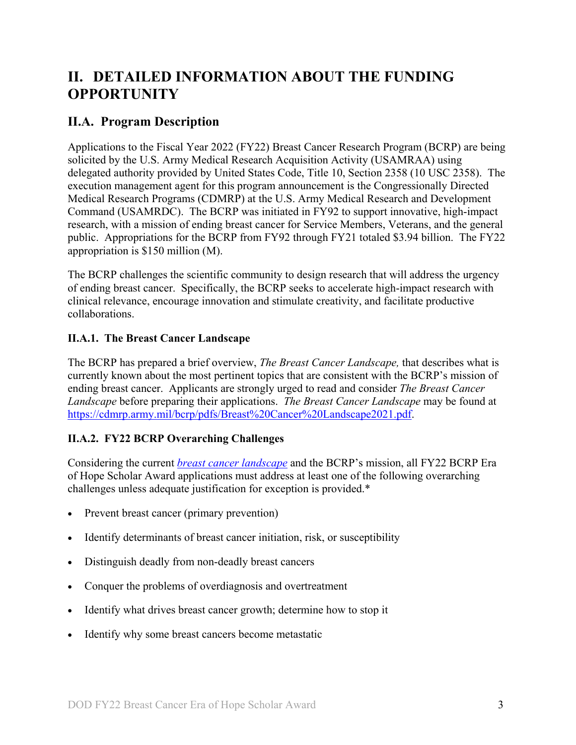# <span id="page-2-0"></span>**II. DETAILED INFORMATION ABOUT THE FUNDING OPPORTUNITY**

### <span id="page-2-1"></span>**II.A. Program Description**

Applications to the Fiscal Year 2022 (FY22) Breast Cancer Research Program (BCRP) are being solicited by the U.S. Army Medical Research Acquisition Activity (USAMRAA) using delegated authority provided by United States Code, Title 10, Section 2358 (10 USC 2358). The execution management agent for this program announcement is the Congressionally Directed Medical Research Programs (CDMRP) at the U.S. Army Medical Research and Development Command (USAMRDC). The BCRP was initiated in FY92 to support innovative, high-impact research, with a mission of ending breast cancer for Service Members, Veterans, and the general public. Appropriations for the BCRP from FY92 through FY21 totaled \$3.94 billion. The FY22 appropriation is \$150 million (M).

The BCRP challenges the scientific community to design research that will address the urgency of ending breast cancer. Specifically, the BCRP seeks to accelerate high-impact research with clinical relevance, encourage innovation and stimulate creativity, and facilitate productive collaborations.

#### <span id="page-2-2"></span>**II.A.1. The Breast Cancer Landscape**

The BCRP has prepared a brief overview, *The Breast Cancer Landscape,* that describes what is currently known about the most pertinent topics that are consistent with the BCRP's mission of ending breast cancer. Applicants are strongly urged to read and consider *The Breast Cancer Landscape* before preparing their applications. *The Breast Cancer Landscape* may be found at [https://cdmrp.army.mil/bcrp/pdfs/Breast%20Cancer%20Landscape2021.pdf.](https://cdmrp.army.mil/bcrp/pdfs/Breast%20Cancer%20Landscape2021.pdf)

### <span id="page-2-3"></span>**II.A.2. FY22 BCRP Overarching Challenges**

Considering the current *[breast cancer landscape](https://cdmrp.army.mil/bcrp/pdfs/Breast%20Cancer%20Landscape2021.pdf)* and the BCRP's mission, all FY22 BCRP Era of Hope Scholar Award applications must address at least one of the following overarching challenges unless adequate justification for exception is provided.\*

- Prevent breast cancer (primary prevention)
- Identify determinants of breast cancer initiation, risk, or susceptibility
- Distinguish deadly from non-deadly breast cancers
- Conquer the problems of overdiagnosis and overtreatment
- Identify what drives breast cancer growth; determine how to stop it
- Identify why some breast cancers become metastatic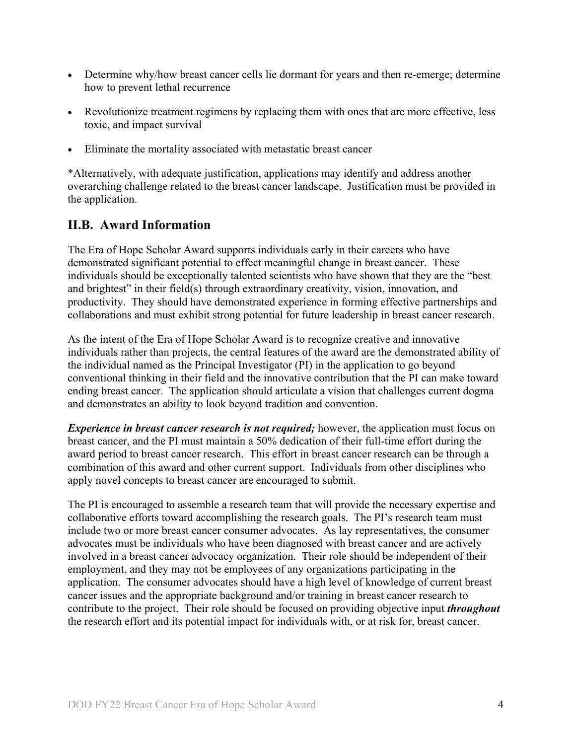- Determine why/how breast cancer cells lie dormant for years and then re-emerge; determine how to prevent lethal recurrence
- Revolutionize treatment regimens by replacing them with ones that are more effective, less toxic, and impact survival
- Eliminate the mortality associated with metastatic breast cancer

\*Alternatively, with adequate justification, applications may identify and address another overarching challenge related to the breast cancer landscape. Justification must be provided in the application.

## <span id="page-3-0"></span>**II.B. Award Information**

The Era of Hope Scholar Award supports individuals early in their careers who have demonstrated significant potential to effect meaningful change in breast cancer. These individuals should be exceptionally talented scientists who have shown that they are the "best and brightest" in their field(s) through extraordinary creativity, vision, innovation, and productivity. They should have demonstrated experience in forming effective partnerships and collaborations and must exhibit strong potential for future leadership in breast cancer research.

As the intent of the Era of Hope Scholar Award is to recognize creative and innovative individuals rather than projects, the central features of the award are the demonstrated ability of the individual named as the Principal Investigator (PI) in the application to go beyond conventional thinking in their field and the innovative contribution that the PI can make toward ending breast cancer. The application should articulate a vision that challenges current dogma and demonstrates an ability to look beyond tradition and convention.

*Experience in breast cancer research is not required;* however, the application must focus on breast cancer, and the PI must maintain a 50% dedication of their full-time effort during the award period to breast cancer research. This effort in breast cancer research can be through a combination of this award and other current support. Individuals from other disciplines who apply novel concepts to breast cancer are encouraged to submit.

The PI is encouraged to assemble a research team that will provide the necessary expertise and collaborative efforts toward accomplishing the research goals. The PI's research team must include two or more breast cancer consumer advocates. As lay representatives, the consumer advocates must be individuals who have been diagnosed with breast cancer and are actively involved in a breast cancer advocacy organization. Their role should be independent of their employment, and they may not be employees of any organizations participating in the application. The consumer advocates should have a high level of knowledge of current breast cancer issues and the appropriate background and/or training in breast cancer research to contribute to the project. Their role should be focused on providing objective input *throughout* the research effort and its potential impact for individuals with, or at risk for, breast cancer.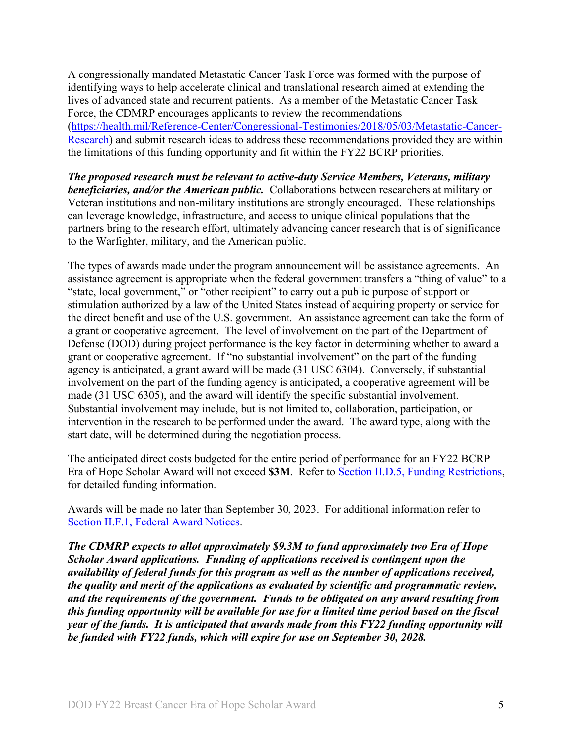A congressionally mandated Metastatic Cancer Task Force was formed with the purpose of identifying ways to help accelerate clinical and translational research aimed at extending the lives of advanced state and recurrent patients. As a member of the Metastatic Cancer Task Force, the CDMRP encourages applicants to review the recommendations [\(https://health.mil/Reference-Center/Congressional-Testimonies/2018/05/03/Metastatic-Cancer-](https://www.health.mil/Reference-Center/Congressional-Testimonies?refVector=001000000000000&refSrc=130)[Research\)](https://www.health.mil/Reference-Center/Congressional-Testimonies?refVector=001000000000000&refSrc=130) and submit research ideas to address these recommendations provided they are within the limitations of this funding opportunity and fit within the FY22 BCRP priorities.

*The proposed research must be relevant to active-duty Service Members, Veterans, military beneficiaries, and/or the American public.* Collaborations between researchers at military or Veteran institutions and non-military institutions are strongly encouraged. These relationships can leverage knowledge, infrastructure, and access to unique clinical populations that the partners bring to the research effort, ultimately advancing cancer research that is of significance to the Warfighter, military, and the American public.

The types of awards made under the program announcement will be assistance agreements. An assistance agreement is appropriate when the federal government transfers a "thing of value" to a "state, local government," or "other recipient" to carry out a public purpose of support or stimulation authorized by a law of the United States instead of acquiring property or service for the direct benefit and use of the U.S. government. An assistance agreement can take the form of a grant or cooperative agreement. The level of involvement on the part of the Department of Defense (DOD) during project performance is the key factor in determining whether to award a grant or cooperative agreement. If "no substantial involvement" on the part of the funding agency is anticipated, a grant award will be made (31 USC 6304). Conversely, if substantial involvement on the part of the funding agency is anticipated, a cooperative agreement will be made (31 USC 6305), and the award will identify the specific substantial involvement. Substantial involvement may include, but is not limited to, collaboration, participation, or intervention in the research to be performed under the award. The award type, along with the start date, will be determined during the negotiation process.

The anticipated direct costs budgeted for the entire period of performance for an FY22 BCRP Era of Hope Scholar Award will not exceed **\$3M**. Refer to Section [II.D.5, Funding Restrictions,](#page-21-0) for detailed funding information.

Awards will be made no later than September 30, 2023. For additional information refer to [Section II.F.1, Federal Award Notices.](#page-25-3)

*The CDMRP expects to allot approximately \$9.3M to fund approximately two Era of Hope Scholar Award applications. Funding of applications received is contingent upon the availability of federal funds for this program as well as the number of applications received, the quality and merit of the applications as evaluated by scientific and programmatic review, and the requirements of the government. Funds to be obligated on any award resulting from this funding opportunity will be available for use for a limited time period based on the fiscal year of the funds. It is anticipated that awards made from this FY22 funding opportunity will be funded with FY22 funds, which will expire for use on September 30, 2028.*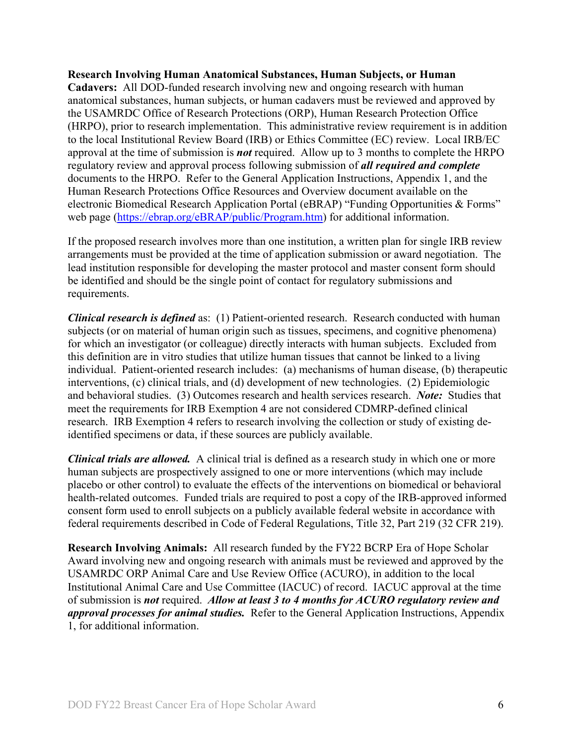#### **Research Involving Human Anatomical Substances, Human Subjects, or Human**

**Cadavers:** All DOD-funded research involving new and ongoing research with human anatomical substances, human subjects, or human cadavers must be reviewed and approved by the USAMRDC Office of Research Protections (ORP), Human Research Protection Office (HRPO), prior to research implementation. This administrative review requirement is in addition to the local Institutional Review Board (IRB) or Ethics Committee (EC) review. Local IRB/EC approval at the time of submission is *not* required. Allow up to 3 months to complete the HRPO regulatory review and approval process following submission of *all required and complete*  documents to the HRPO. Refer to the General Application Instructions, Appendix 1, and the Human Research Protections Office Resources and Overview document available on the electronic Biomedical Research Application Portal (eBRAP) "Funding Opportunities & Forms" web page [\(https://ebrap.org/eBRAP/public/Program.htm\)](https://ebrap.org/eBRAP/public/Program.htm) for additional information.

If the proposed research involves more than one institution, a written plan for single IRB review arrangements must be provided at the time of application submission or award negotiation. The lead institution responsible for developing the master protocol and master consent form should be identified and should be the single point of contact for regulatory submissions and requirements.

*Clinical research is defined* as: (1) Patient-oriented research. Research conducted with human subjects (or on material of human origin such as tissues, specimens, and cognitive phenomena) for which an investigator (or colleague) directly interacts with human subjects. Excluded from this definition are in vitro studies that utilize human tissues that cannot be linked to a living individual. Patient-oriented research includes: (a) mechanisms of human disease, (b) therapeutic interventions, (c) clinical trials, and (d) development of new technologies. (2) Epidemiologic and behavioral studies. (3) Outcomes research and health services research. *Note:* Studies that meet the requirements for IRB Exemption 4 are not considered CDMRP-defined clinical research. IRB Exemption 4 refers to research involving the collection or study of existing deidentified specimens or data, if these sources are publicly available.

*Clinical trials are allowed.* A clinical trial is defined as a research study in which one or more human subjects are prospectively assigned to one or more interventions (which may include placebo or other control) to evaluate the effects of the interventions on biomedical or behavioral health-related outcomes. Funded trials are required to post a copy of the IRB-approved informed consent form used to enroll subjects on a publicly available federal website in accordance with federal requirements described in Code of Federal Regulations, Title 32, Part 219 (32 CFR 219).

**Research Involving Animals:** All research funded by the FY22 BCRP Era of Hope Scholar Award involving new and ongoing research with animals must be reviewed and approved by the USAMRDC ORP Animal Care and Use Review Office (ACURO), in addition to the local Institutional Animal Care and Use Committee (IACUC) of record. IACUC approval at the time of submission is *not* required. *Allow at least 3 to 4 months for ACURO regulatory review and approval processes for animal studies.* Refer to the General Application Instructions, Appendix 1, for additional information.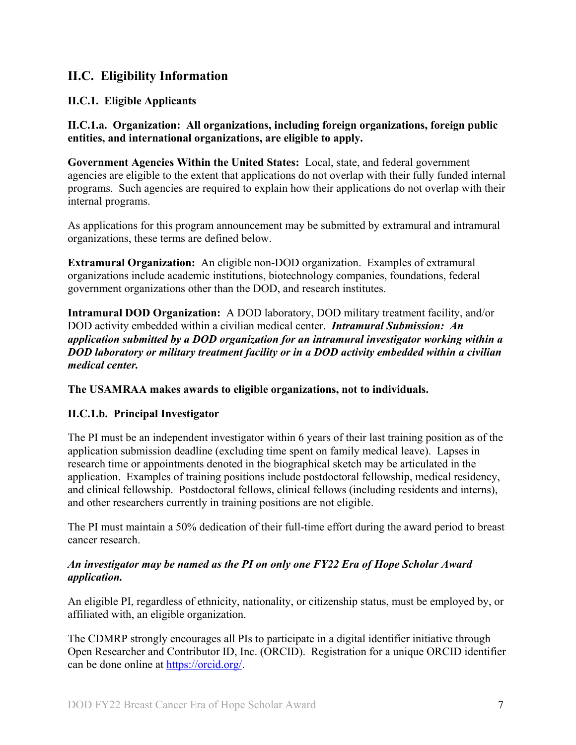### <span id="page-6-0"></span>**II.C. Eligibility Information**

#### <span id="page-6-1"></span>**II.C.1. Eligible Applicants**

**II.C.1.a. Organization: All organizations, including foreign organizations, foreign public entities, and international organizations, are eligible to apply.** 

**Government Agencies Within the United States:** Local, state, and federal government agencies are eligible to the extent that applications do not overlap with their fully funded internal programs. Such agencies are required to explain how their applications do not overlap with their internal programs.

As applications for this program announcement may be submitted by extramural and intramural organizations, these terms are defined below.

**Extramural Organization:** An eligible non-DOD organization. Examples of extramural organizations include academic institutions, biotechnology companies, foundations, federal government organizations other than the DOD, and research institutes.

**Intramural DOD Organization:** A DOD laboratory, DOD military treatment facility, and/or DOD activity embedded within a civilian medical center. *Intramural Submission:**An application submitted by a DOD organization for an intramural investigator working within a DOD laboratory or military treatment facility or in a DOD activity embedded within a civilian medical center.*

**The USAMRAA makes awards to eligible organizations, not to individuals.**

#### **II.C.1.b. Principal Investigator**

The PI must be an independent investigator within 6 years of their last training position as of the application submission deadline (excluding time spent on family medical leave). Lapses in research time or appointments denoted in the biographical sketch may be articulated in the application. Examples of training positions include postdoctoral fellowship, medical residency, and clinical fellowship. Postdoctoral fellows, clinical fellows (including residents and interns), and other researchers currently in training positions are not eligible.

The PI must maintain a 50% dedication of their full-time effort during the award period to breast cancer research.

#### *An investigator may be named as the PI on only one FY22 Era of Hope Scholar Award application.*

An eligible PI, regardless of ethnicity, nationality, or citizenship status, must be employed by, or affiliated with, an eligible organization.

The CDMRP strongly encourages all PIs to participate in a digital identifier initiative through Open Researcher and Contributor ID, Inc. (ORCID). Registration for a unique ORCID identifier can be done online at [https://orcid.org/.](https://orcid.org/)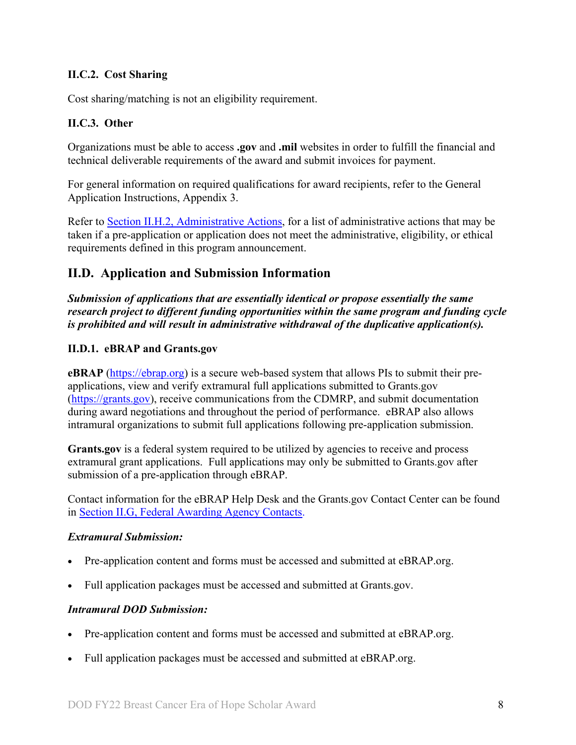#### <span id="page-7-0"></span>**II.C.2. Cost Sharing**

Cost sharing/matching is not an eligibility requirement.

#### <span id="page-7-1"></span>**II.C.3. Other**

Organizations must be able to access **.gov** and **.mil** websites in order to fulfill the financial and technical deliverable requirements of the award and submit invoices for payment.

For general information on required qualifications for award recipients, refer to the General Application Instructions, Appendix 3.

Refer to [Section II.H.2, Administrative Actions,](#page-29-0) for a list of administrative actions that may be taken if a pre-application or application does not meet the administrative, eligibility, or ethical requirements defined in this program announcement.

### <span id="page-7-2"></span>**II.D. Application and Submission Information**

*Submission of applications that are essentially identical or propose essentially the same research project to different funding opportunities within the same program and funding cycle is prohibited and will result in administrative withdrawal of the duplicative application(s).*

#### <span id="page-7-3"></span>**II.D.1. eBRAP and Grants.gov**

**eBRAP** [\(https://ebrap.org\)](https://ebrap.org/) is a secure web-based system that allows PIs to submit their preapplications, view and verify extramural full applications submitted to Grants.gov [\(https://grants.gov\)](https://grants.gov/), receive communications from the CDMRP, and submit documentation during award negotiations and throughout the period of performance. eBRAP also allows intramural organizations to submit full applications following pre-application submission.

Grants.gov is a federal system required to be utilized by agencies to receive and process extramural grant applications. Full applications may only be submitted to Grants.gov after submission of a pre-application through eBRAP.

Contact information for the eBRAP Help Desk and the Grants.gov Contact Center can be found in [Section II.G, Federal Awarding Agency Contacts.](#page-28-0)

#### *Extramural Submission:*

- Pre-application content and forms must be accessed and submitted at eBRAP.org.
- Full application packages must be accessed and submitted at Grants.gov.

#### *Intramural DOD Submission:*

- Pre-application content and forms must be accessed and submitted at eBRAP.org.
- Full application packages must be accessed and submitted at eBRAP.org.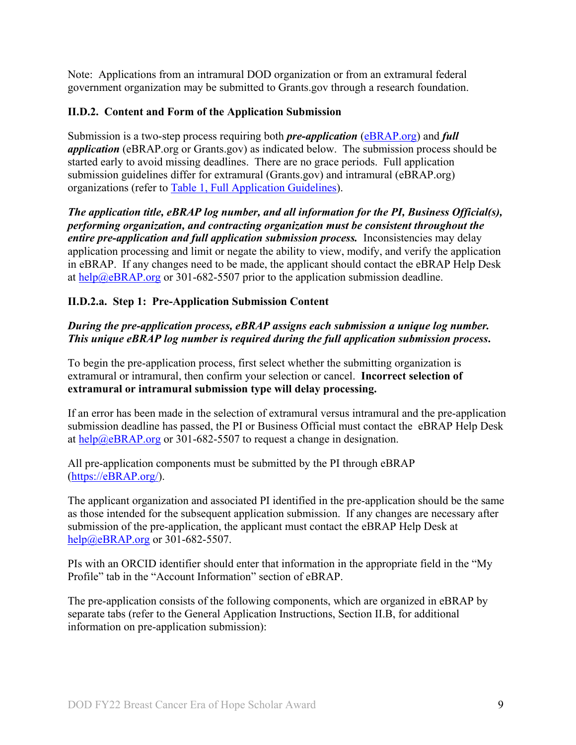Note: Applications from an intramural DOD organization or from an extramural federal government organization may be submitted to Grants.gov through a research foundation.

#### <span id="page-8-0"></span>**II.D.2. Content and Form of the Application Submission**

Submission is a two-step process requiring both *pre-application* [\(eBRAP.org\)](https://ebrap.org/) and *full application* (eBRAP.org or Grants.gov) as indicated below. The submission process should be started early to avoid missing deadlines. There are no grace periods. Full application submission guidelines differ for extramural (Grants.gov) and intramural (eBRAP.org) organizations (refer to [Table 1, Full Application Guidelines\)](#page-10-0).

*The application title, eBRAP log number, and all information for the PI, Business Official(s), performing organization, and contracting organization must be consistent throughout the entire pre-application and full application submission process.* Inconsistencies may delay application processing and limit or negate the ability to view, modify, and verify the application in eBRAP. If any changes need to be made, the applicant should contact the eBRAP Help Desk at [help@eBRAP.org](mailto:help@eBRAP.org) or 301-682-5507 prior to the application submission deadline.

#### **II.D.2.a. Step 1: Pre-Application Submission Content**

#### *During the pre-application process, eBRAP assigns each submission a unique log number. This unique eBRAP log number is required during the full application submission process***.**

To begin the pre-application process, first select whether the submitting organization is extramural or intramural, then confirm your selection or cancel. **Incorrect selection of extramural or intramural submission type will delay processing.**

If an error has been made in the selection of extramural versus intramural and the pre-application submission deadline has passed, the PI or Business Official must contact the eBRAP Help Desk at [help@eBRAP.org](mailto:help@eBRAP.org) or 301-682-5507 to request a change in designation.

All pre-application components must be submitted by the PI through eBRAP [\(https://eBRAP.org/\)](https://ebrap.org/).

The applicant organization and associated PI identified in the pre-application should be the same as those intended for the subsequent application submission. If any changes are necessary after submission of the pre-application, the applicant must contact the eBRAP Help Desk at [help@eBRAP.org](mailto:help@eBRAP.org) or 301-682-5507.

PIs with an ORCID identifier should enter that information in the appropriate field in the "My Profile" tab in the "Account Information" section of eBRAP.

The pre-application consists of the following components, which are organized in eBRAP by separate tabs (refer to the General Application Instructions, Section II.B, for additional information on pre-application submission):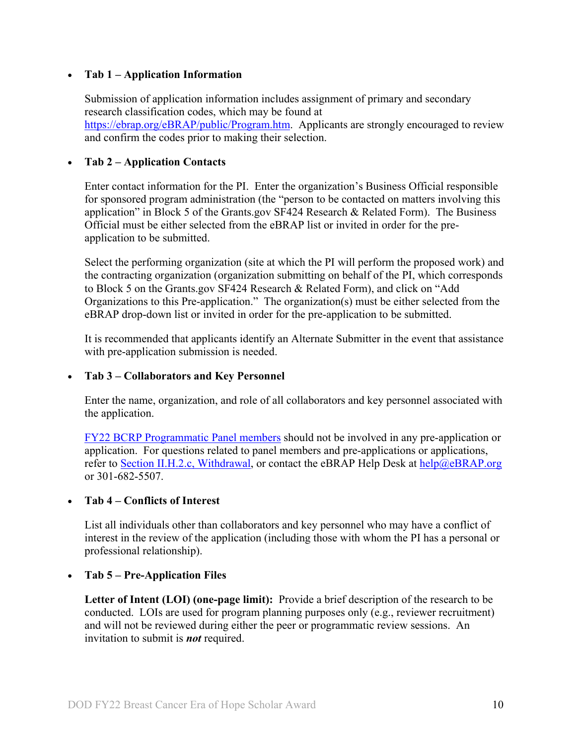#### • **Tab 1 – Application Information**

Submission of application information includes assignment of primary and secondary research classification codes, which may be found at [https://ebrap.org/eBRAP/public/Program.htm.](https://ebrap.org/eBRAP/public/Program.htm) Applicants are strongly encouraged to review and confirm the codes prior to making their selection.

#### • **Tab 2 – Application Contacts**

Enter contact information for the PI. Enter the organization's Business Official responsible for sponsored program administration (the "person to be contacted on matters involving this application" in Block 5 of the Grants.gov SF424 Research & Related Form). The Business Official must be either selected from the eBRAP list or invited in order for the preapplication to be submitted.

Select the performing organization (site at which the PI will perform the proposed work) and the contracting organization (organization submitting on behalf of the PI, which corresponds to Block 5 on the Grants.gov SF424 Research & Related Form), and click on "Add Organizations to this Pre-application." The organization(s) must be either selected from the eBRAP drop-down list or invited in order for the pre-application to be submitted.

It is recommended that applicants identify an Alternate Submitter in the event that assistance with pre-application submission is needed.

#### • **Tab 3 – Collaborators and Key Personnel**

Enter the name, organization, and role of all collaborators and key personnel associated with the application.

[FY22 BCRP Programmatic Panel members](http://cdmrp.army.mil/bcrp/panels/panels22) should not be involved in any pre-application or application. For questions related to panel members and pre-applications or applications, refer to [Section II.H.2.c, Withdrawal,](#page-29-1) or contact the eBRAP Help Desk at [help@eBRAP.org](mailto:help@eBRAP.org) or 301-682-5507.

#### • **Tab 4 – Conflicts of Interest**

List all individuals other than collaborators and key personnel who may have a conflict of interest in the review of the application (including those with whom the PI has a personal or professional relationship).

#### • **Tab 5 – Pre-Application Files**

**Letter of Intent (LOI) (one-page limit):** Provide a brief description of the research to be conducted. LOIs are used for program planning purposes only (e.g., reviewer recruitment) and will not be reviewed during either the peer or programmatic review sessions. An invitation to submit is *not* required.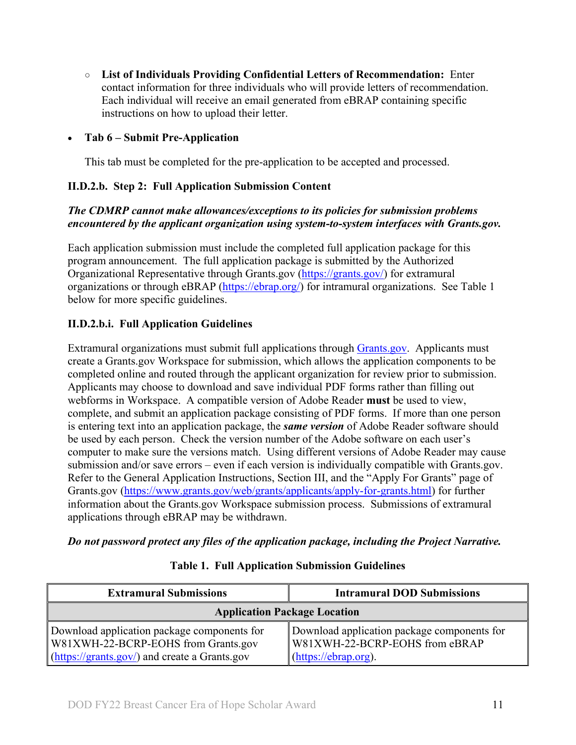**○ List of Individuals Providing Confidential Letters of Recommendation:** Enter contact information for three individuals who will provide letters of recommendation. Each individual will receive an email generated from eBRAP containing specific instructions on how to upload their letter.

#### • **Tab 6 – Submit Pre-Application**

This tab must be completed for the pre-application to be accepted and processed.

#### **II.D.2.b. Step 2: Full Application Submission Content**

#### *The CDMRP cannot make allowances/exceptions to its policies for submission problems encountered by the applicant organization using system-to-system interfaces with Grants.gov.*

Each application submission must include the completed full application package for this program announcement. The full application package is submitted by the Authorized Organizational Representative through Grants.gov [\(https://grants.gov/\)](https://grants.gov/) for extramural organizations or through eBRAP [\(https://ebrap.org/\)](https://ebrap.org/) for intramural organizations. See Table 1 below for more specific guidelines.

#### **II.D.2.b.i. Full Application Guidelines**

Extramural organizations must submit full applications through [Grants.gov.](https://grants.gov/) Applicants must create a Grants.gov Workspace for submission, which allows the application components to be completed online and routed through the applicant organization for review prior to submission. Applicants may choose to download and save individual PDF forms rather than filling out webforms in Workspace. A compatible version of Adobe Reader **must** be used to view, complete, and submit an application package consisting of PDF forms. If more than one person is entering text into an application package, the *same version* of Adobe Reader software should be used by each person. Check the version number of the Adobe software on each user's computer to make sure the versions match. Using different versions of Adobe Reader may cause submission and/or save errors – even if each version is individually compatible with Grants.gov. Refer to the General Application Instructions, Section III, and the "Apply For Grants" page of Grants.gov [\(https://www.grants.gov/web/grants/applicants/apply-for-grants.html\)](https://www.grants.gov/web/grants/applicants/apply-for-grants.html) for further information about the Grants.gov Workspace submission process. Submissions of extramural applications through eBRAP may be withdrawn.

<span id="page-10-0"></span>*Do not password protect any files of the application package, including the Project Narrative.*

| <b>Extramural Submissions</b>                                                      | <b>Intramural DOD Submissions</b>                                             |  |  |
|------------------------------------------------------------------------------------|-------------------------------------------------------------------------------|--|--|
| <b>Application Package Location</b>                                                |                                                                               |  |  |
| Download application package components for<br>W81XWH-22-BCRP-EOHS from Grants.gov | Download application package components for<br>W81XWH-22-BCRP-EOHS from eBRAP |  |  |
| $(\frac{https://grants.gov/}{https://grants.gov/})$ and create a Grants.gov        | $(\frac{https://ebrap.org)}{https://ebrap.org})$ .                            |  |  |

#### **Table 1. Full Application Submission Guidelines**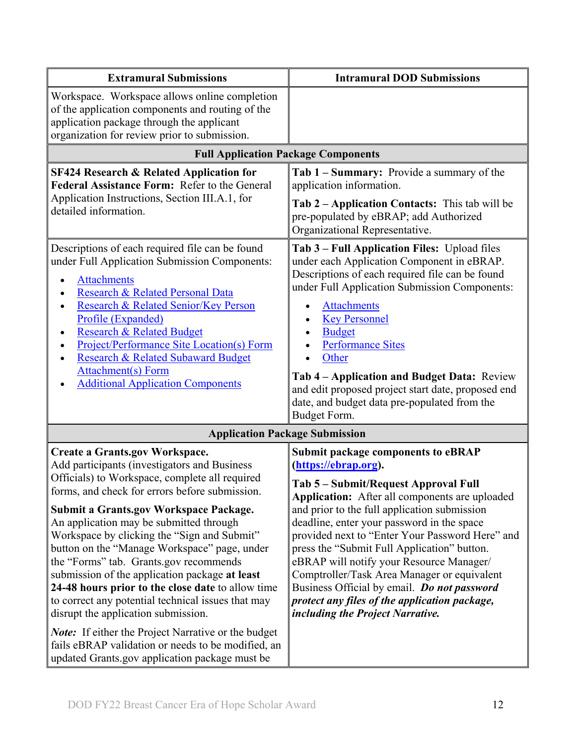| <b>Extramural Submissions</b>                                                                                                                                                                                                                                                                                                                                                                                                                                                                                                                                                                                                                                                                                                                                                                            | <b>Intramural DOD Submissions</b>                                                                                                                                                                                                                                                                                                                                                                                                                                                                                                                                                                 |
|----------------------------------------------------------------------------------------------------------------------------------------------------------------------------------------------------------------------------------------------------------------------------------------------------------------------------------------------------------------------------------------------------------------------------------------------------------------------------------------------------------------------------------------------------------------------------------------------------------------------------------------------------------------------------------------------------------------------------------------------------------------------------------------------------------|---------------------------------------------------------------------------------------------------------------------------------------------------------------------------------------------------------------------------------------------------------------------------------------------------------------------------------------------------------------------------------------------------------------------------------------------------------------------------------------------------------------------------------------------------------------------------------------------------|
| Workspace. Workspace allows online completion<br>of the application components and routing of the<br>application package through the applicant<br>organization for review prior to submission.                                                                                                                                                                                                                                                                                                                                                                                                                                                                                                                                                                                                           |                                                                                                                                                                                                                                                                                                                                                                                                                                                                                                                                                                                                   |
| <b>Full Application Package Components</b>                                                                                                                                                                                                                                                                                                                                                                                                                                                                                                                                                                                                                                                                                                                                                               |                                                                                                                                                                                                                                                                                                                                                                                                                                                                                                                                                                                                   |
| <b>SF424 Research &amp; Related Application for</b><br>Federal Assistance Form: Refer to the General<br>Application Instructions, Section III.A.1, for<br>detailed information.                                                                                                                                                                                                                                                                                                                                                                                                                                                                                                                                                                                                                          | Tab 1 – Summary: Provide a summary of the<br>application information.<br>Tab 2 – Application Contacts: This tab will be<br>pre-populated by eBRAP; add Authorized<br>Organizational Representative.                                                                                                                                                                                                                                                                                                                                                                                               |
| Descriptions of each required file can be found<br>under Full Application Submission Components:<br><b>Attachments</b><br>Research & Related Personal Data<br>Research & Related Senior/Key Person<br>Profile (Expanded)<br><b>Research &amp; Related Budget</b><br>Project/Performance Site Location(s) Form<br>Research & Related Subaward Budget<br><b>Attachment(s)</b> Form<br><b>Additional Application Components</b>                                                                                                                                                                                                                                                                                                                                                                             | Tab 3 – Full Application Files: Upload files<br>under each Application Component in eBRAP.<br>Descriptions of each required file can be found<br>under Full Application Submission Components:<br><b>Attachments</b><br><b>Key Personnel</b><br><b>Budget</b><br><b>Performance Sites</b><br>Other<br>Tab 4 – Application and Budget Data: Review<br>and edit proposed project start date, proposed end<br>date, and budget data pre-populated from the<br>Budget Form.                                                                                                                           |
| <b>Application Package Submission</b>                                                                                                                                                                                                                                                                                                                                                                                                                                                                                                                                                                                                                                                                                                                                                                    |                                                                                                                                                                                                                                                                                                                                                                                                                                                                                                                                                                                                   |
| <b>Create a Grants.gov Workspace.</b><br>Add participants (investigators and Business<br>Officials) to Workspace, complete all required<br>forms, and check for errors before submission.<br><b>Submit a Grants.gov Workspace Package.</b><br>An application may be submitted through<br>Workspace by clicking the "Sign and Submit"<br>button on the "Manage Workspace" page, under<br>the "Forms" tab. Grants.gov recommends<br>submission of the application package at least<br>24-48 hours prior to the close date to allow time<br>to correct any potential technical issues that may<br>disrupt the application submission.<br><b>Note:</b> If either the Project Narrative or the budget<br>fails eBRAP validation or needs to be modified, an<br>updated Grants.gov application package must be | <b>Submit package components to eBRAP</b><br>(https://ebrap.org).<br>Tab 5 - Submit/Request Approval Full<br><b>Application:</b> After all components are uploaded<br>and prior to the full application submission<br>deadline, enter your password in the space<br>provided next to "Enter Your Password Here" and<br>press the "Submit Full Application" button.<br>eBRAP will notify your Resource Manager/<br>Comptroller/Task Area Manager or equivalent<br>Business Official by email. Do not password<br>protect any files of the application package,<br>including the Project Narrative. |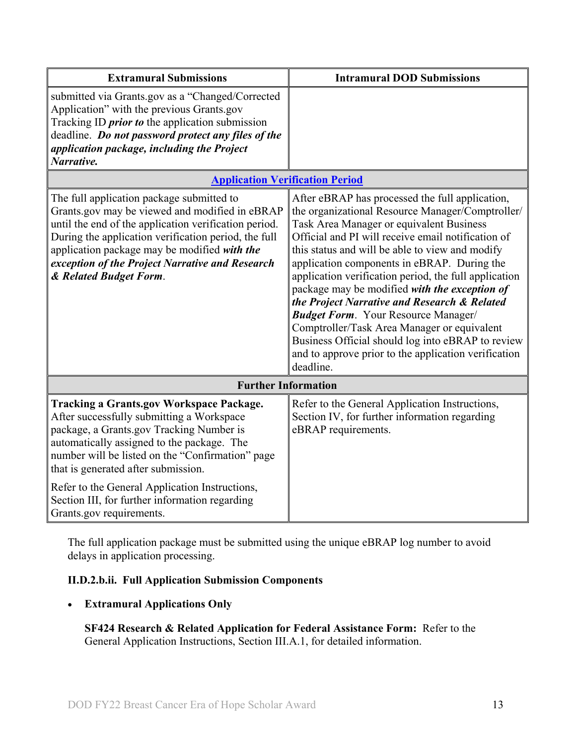| <b>Extramural Submissions</b>                                                                                                                                                                                                                                                                                                             | <b>Intramural DOD Submissions</b>                                                                                                                                                                                                                                                                                                                                                                                                                                                                                                                                                                                                                                                        |  |
|-------------------------------------------------------------------------------------------------------------------------------------------------------------------------------------------------------------------------------------------------------------------------------------------------------------------------------------------|------------------------------------------------------------------------------------------------------------------------------------------------------------------------------------------------------------------------------------------------------------------------------------------------------------------------------------------------------------------------------------------------------------------------------------------------------------------------------------------------------------------------------------------------------------------------------------------------------------------------------------------------------------------------------------------|--|
| submitted via Grants.gov as a "Changed/Corrected<br>Application" with the previous Grants.gov<br>Tracking ID <i>prior to</i> the application submission<br>deadline. Do not password protect any files of the<br>application package, including the Project<br>Narrative.                                                                 |                                                                                                                                                                                                                                                                                                                                                                                                                                                                                                                                                                                                                                                                                          |  |
| <b>Application Verification Period</b>                                                                                                                                                                                                                                                                                                    |                                                                                                                                                                                                                                                                                                                                                                                                                                                                                                                                                                                                                                                                                          |  |
| The full application package submitted to<br>Grants.gov may be viewed and modified in eBRAP<br>until the end of the application verification period.<br>During the application verification period, the full<br>application package may be modified with the<br>exception of the Project Narrative and Research<br>& Related Budget Form. | After eBRAP has processed the full application,<br>the organizational Resource Manager/Comptroller/<br>Task Area Manager or equivalent Business<br>Official and PI will receive email notification of<br>this status and will be able to view and modify<br>application components in eBRAP. During the<br>application verification period, the full application<br>package may be modified with the exception of<br>the Project Narrative and Research & Related<br><b>Budget Form.</b> Your Resource Manager/<br>Comptroller/Task Area Manager or equivalent<br>Business Official should log into eBRAP to review<br>and to approve prior to the application verification<br>deadline. |  |
| <b>Further Information</b>                                                                                                                                                                                                                                                                                                                |                                                                                                                                                                                                                                                                                                                                                                                                                                                                                                                                                                                                                                                                                          |  |
| <b>Tracking a Grants.gov Workspace Package.</b><br>After successfully submitting a Workspace<br>package, a Grants.gov Tracking Number is<br>automatically assigned to the package. The<br>number will be listed on the "Confirmation" page<br>that is generated after submission.<br>Refer to the General Application Instructions,       | Refer to the General Application Instructions,<br>Section IV, for further information regarding<br>eBRAP requirements.                                                                                                                                                                                                                                                                                                                                                                                                                                                                                                                                                                   |  |
| Section III, for further information regarding<br>Grants.gov requirements.                                                                                                                                                                                                                                                                |                                                                                                                                                                                                                                                                                                                                                                                                                                                                                                                                                                                                                                                                                          |  |

The full application package must be submitted using the unique eBRAP log number to avoid delays in application processing.

#### **II.D.2.b.ii. Full Application Submission Components**

#### • **Extramural Applications Only**

**SF424 Research & Related Application for Federal Assistance Form:** Refer to the General Application Instructions, Section III.A.1, for detailed information.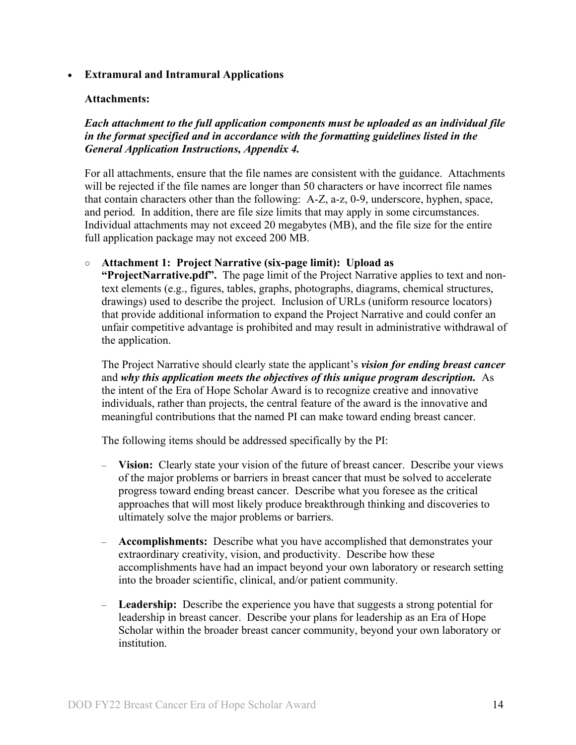#### • **Extramural and Intramural Applications**

#### <span id="page-13-0"></span>**Attachments:**

*Each attachment to the full application components must be uploaded as an individual file in the format specified and in accordance with the formatting guidelines listed in the General Application Instructions, Appendix 4.* 

For all attachments, ensure that the file names are consistent with the guidance. Attachments will be rejected if the file names are longer than 50 characters or have incorrect file names that contain characters other than the following: A-Z, a-z, 0-9, underscore, hyphen, space, and period. In addition, there are file size limits that may apply in some circumstances. Individual attachments may not exceed 20 megabytes (MB), and the file size for the entire full application package may not exceed 200 MB.

#### ○ **Attachment 1: Project Narrative (six-page limit): Upload as**

**"ProjectNarrative.pdf".** The page limit of the Project Narrative applies to text and nontext elements (e.g., figures, tables, graphs, photographs, diagrams, chemical structures, drawings) used to describe the project. Inclusion of URLs (uniform resource locators) that provide additional information to expand the Project Narrative and could confer an unfair competitive advantage is prohibited and may result in administrative withdrawal of the application.

The Project Narrative should clearly state the applicant's *vision for ending breast cancer* and *why this application meets the objectives of this unique program description.* As the intent of the Era of Hope Scholar Award is to recognize creative and innovative individuals, rather than projects, the central feature of the award is the innovative and meaningful contributions that the named PI can make toward ending breast cancer.

The following items should be addressed specifically by the PI:

- **Vision:** Clearly state your vision of the future of breast cancer. Describe your views of the major problems or barriers in breast cancer that must be solved to accelerate progress toward ending breast cancer. Describe what you foresee as the critical approaches that will most likely produce breakthrough thinking and discoveries to ultimately solve the major problems or barriers.
- **Accomplishments:** Describe what you have accomplished that demonstrates your extraordinary creativity, vision, and productivity. Describe how these accomplishments have had an impact beyond your own laboratory or research setting into the broader scientific, clinical, and/or patient community.
- **Leadership:** Describe the experience you have that suggests a strong potential for leadership in breast cancer. Describe your plans for leadership as an Era of Hope Scholar within the broader breast cancer community, beyond your own laboratory or institution.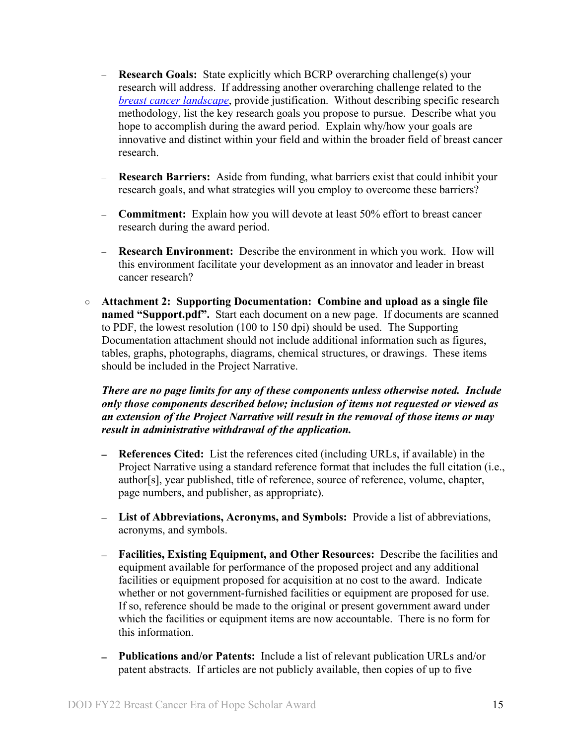- **Research Goals:** State explicitly which BCRP overarching challenge(s) your research will address. If addressing another overarching challenge related to the *[breast cancer landscape](https://cdmrp.army.mil/bcrp/pdfs/Breast%20Cancer%20Landscape2021.pdf)*, provide justification. Without describing specific research methodology, list the key research goals you propose to pursue. Describe what you hope to accomplish during the award period. Explain why/how your goals are innovative and distinct within your field and within the broader field of breast cancer research.
- **Research Barriers:** Aside from funding, what barriers exist that could inhibit your research goals, and what strategies will you employ to overcome these barriers?
- **Commitment:** Explain how you will devote at least 50% effort to breast cancer research during the award period.
- **Research Environment:** Describe the environment in which you work. How will this environment facilitate your development as an innovator and leader in breast cancer research?
- **Attachment 2: Supporting Documentation: Combine and upload as a single file named "Support.pdf".** Start each document on a new page. If documents are scanned to PDF, the lowest resolution (100 to 150 dpi) should be used. The Supporting Documentation attachment should not include additional information such as figures, tables, graphs, photographs, diagrams, chemical structures, or drawings. These items should be included in the Project Narrative.

*There are no page limits for any of these components unless otherwise noted. Include only those components described below; inclusion of items not requested or viewed as an extension of the Project Narrative will result in the removal of those items or may result in administrative withdrawal of the application.*

- **References Cited:** List the references cited (including URLs, if available) in the Project Narrative using a standard reference format that includes the full citation (i.e., author[s], year published, title of reference, source of reference, volume, chapter, page numbers, and publisher, as appropriate).
- **List of Abbreviations, Acronyms, and Symbols:** Provide a list of abbreviations, acronyms, and symbols.
- **Facilities, Existing Equipment, and Other Resources:** Describe the facilities and equipment available for performance of the proposed project and any additional facilities or equipment proposed for acquisition at no cost to the award. Indicate whether or not government-furnished facilities or equipment are proposed for use. If so, reference should be made to the original or present government award under which the facilities or equipment items are now accountable. There is no form for this information.
- **Publications and/or Patents:** Include a list of relevant publication URLs and/or patent abstracts. If articles are not publicly available, then copies of up to five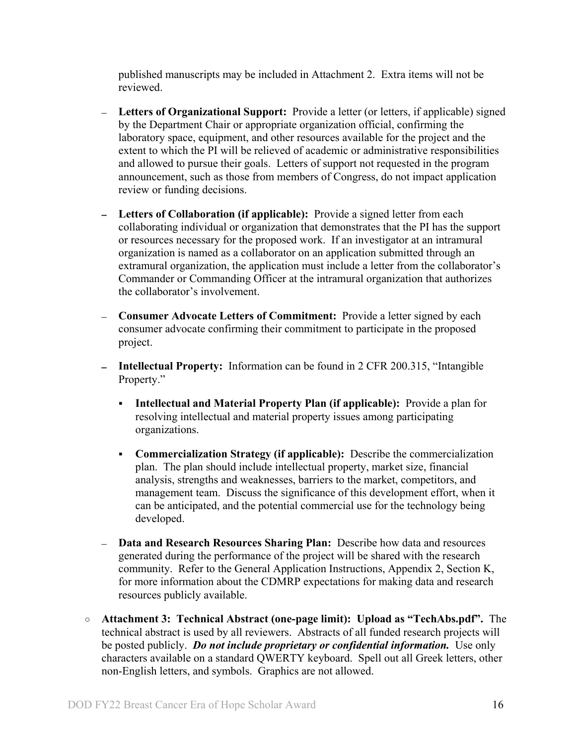published manuscripts may be included in Attachment 2. Extra items will not be reviewed.

- **Letters of Organizational Support:** Provide a letter (or letters, if applicable) signed by the Department Chair or appropriate organization official, confirming the laboratory space, equipment, and other resources available for the project and the extent to which the PI will be relieved of academic or administrative responsibilities and allowed to pursue their goals. Letters of support not requested in the program announcement, such as those from members of Congress, do not impact application review or funding decisions.
- **Letters of Collaboration (if applicable):** Provide a signed letter from each collaborating individual or organization that demonstrates that the PI has the support or resources necessary for the proposed work. If an investigator at an intramural organization is named as a collaborator on an application submitted through an extramural organization, the application must include a letter from the collaborator's Commander or Commanding Officer at the intramural organization that authorizes the collaborator's involvement.
- **Consumer Advocate Letters of Commitment:** Provide a letter signed by each consumer advocate confirming their commitment to participate in the proposed project.
- **Intellectual Property:** Information can be found in 2 CFR 200.315, "Intangible Property."
	- **Intellectual and Material Property Plan (if applicable):** Provide a plan for resolving intellectual and material property issues among participating organizations.
	- **Commercialization Strategy (if applicable):** Describe the commercialization plan. The plan should include intellectual property, market size, financial analysis, strengths and weaknesses, barriers to the market, competitors, and management team. Discuss the significance of this development effort, when it can be anticipated, and the potential commercial use for the technology being developed.
- **Data and Research Resources Sharing Plan:** Describe how data and resources generated during the performance of the project will be shared with the research community. Refer to the General Application Instructions, Appendix 2, Section K, for more information about the CDMRP expectations for making data and research resources publicly available.
- **Attachment 3: Technical Abstract (one-page limit): Upload as "TechAbs.pdf".** The technical abstract is used by all reviewers. Abstracts of all funded research projects will be posted publicly. *Do not include proprietary or confidential information.* Use only characters available on a standard QWERTY keyboard. Spell out all Greek letters, other non-English letters, and symbols. Graphics are not allowed.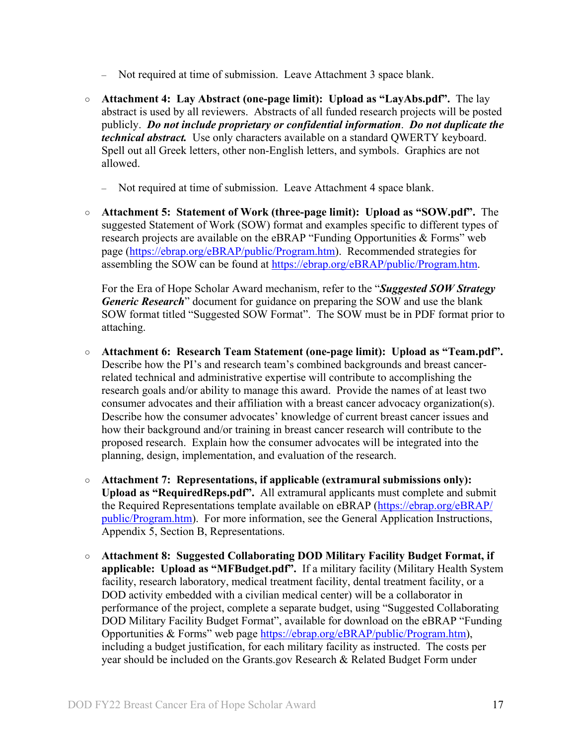- Not required at time of submission. Leave Attachment 3 space blank.
- **Attachment 4: Lay Abstract (one-page limit): Upload as "LayAbs.pdf".** The lay abstract is used by all reviewers. Abstracts of all funded research projects will be posted publicly. *Do not include proprietary or confidential information*. *Do not duplicate the technical abstract.* Use only characters available on a standard QWERTY keyboard. Spell out all Greek letters, other non-English letters, and symbols. Graphics are not allowed.
	- Not required at time of submission. Leave Attachment 4 space blank.
- **Attachment 5: Statement of Work (three-page limit): Upload as "SOW.pdf".** The suggested Statement of Work (SOW) format and examples specific to different types of research projects are available on the eBRAP "Funding Opportunities & Forms" web page [\(https://ebrap.org/eBRAP/public/Program.htm\)](https://ebrap.org/eBRAP/public/Program.htm). Recommended strategies for assembling the SOW can be found at [https://ebrap.org/eBRAP/public/Program.htm.](https://ebrap.org/eBRAP/public/Program.htm)

For the Era of Hope Scholar Award mechanism, refer to the "*Suggested SOW Strategy Generic Research*" document for guidance on preparing the SOW and use the blank SOW format titled "Suggested SOW Format". The SOW must be in PDF format prior to attaching.

- **Attachment 6: Research Team Statement (one-page limit): Upload as "Team.pdf".** Describe how the PI's and research team's combined backgrounds and breast cancerrelated technical and administrative expertise will contribute to accomplishing the research goals and/or ability to manage this award. Provide the names of at least two consumer advocates and their affiliation with a breast cancer advocacy organization(s). Describe how the consumer advocates' knowledge of current breast cancer issues and how their background and/or training in breast cancer research will contribute to the proposed research. Explain how the consumer advocates will be integrated into the planning, design, implementation, and evaluation of the research.
- **Attachment 7: Representations, if applicable (extramural submissions only): Upload as "RequiredReps.pdf".** All extramural applicants must complete and submit the Required Representations template available on eBRAP [\(https://ebrap.org/eBRAP/](https://ebrap.org/eBRAP/public/Program.htm) [public/Program.htm\)](https://ebrap.org/eBRAP/public/Program.htm). For more information, see the General Application Instructions, Appendix 5, Section B, Representations.
- <span id="page-16-0"></span>○ **Attachment 8: Suggested Collaborating DOD Military Facility Budget Format, if applicable: Upload as "MFBudget.pdf".** If a military facility (Military Health System facility, research laboratory, medical treatment facility, dental treatment facility, or a DOD activity embedded with a civilian medical center) will be a collaborator in performance of the project, complete a separate budget, using "Suggested Collaborating DOD Military Facility Budget Format", available for download on the eBRAP "Funding Opportunities & Forms" web page [https://ebrap.org/eBRAP/public/Program.htm\)](https://ebrap.org/eBRAP/public/Program.htm), including a budget justification, for each military facility as instructed. The costs per year should be included on the Grants.gov Research & Related Budget Form under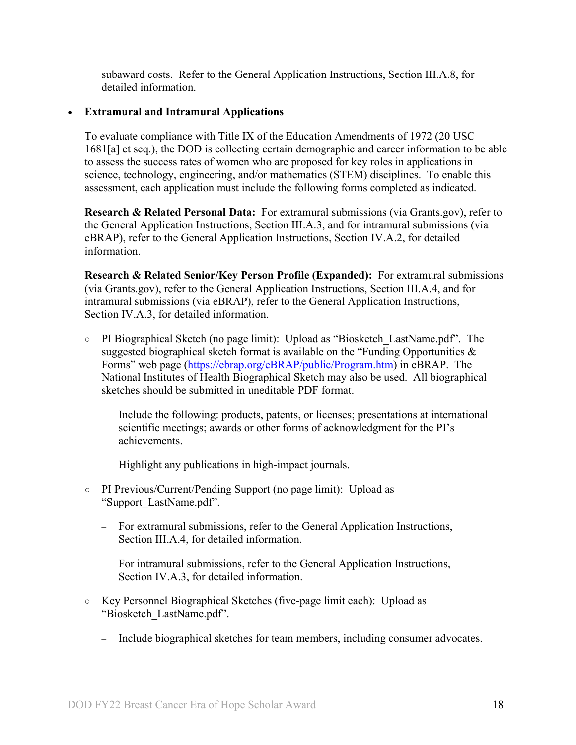subaward costs. Refer to the General Application Instructions, Section III.A.8, for detailed information.

#### • **Extramural and Intramural Applications**

To evaluate compliance with Title IX of the Education Amendments of 1972 (20 USC 1681[a] et seq.), the DOD is collecting certain demographic and career information to be able to assess the success rates of women who are proposed for key roles in applications in science, technology, engineering, and/or mathematics (STEM) disciplines. To enable this assessment, each application must include the following forms completed as indicated.

<span id="page-17-0"></span>**Research & Related Personal Data:** For extramural submissions (via Grants.gov), refer to the General Application Instructions, Section III.A.3, and for intramural submissions (via eBRAP), refer to the General Application Instructions, Section IV.A.2, for detailed information.

<span id="page-17-1"></span>**Research & Related Senior/Key Person Profile (Expanded):** For extramural submissions (via Grants.gov), refer to the General Application Instructions, Section III.A.4, and for intramural submissions (via eBRAP), refer to the General Application Instructions, Section IV.A.3, for detailed information.

- PI Biographical Sketch (no page limit): Upload as "Biosketch\_LastName.pdf". The suggested biographical sketch format is available on the "Funding Opportunities  $\&$ Forms" web page [\(https://ebrap.org/eBRAP/public/Program.htm\)](https://ebrap.org/eBRAP/public/Program.htm) in eBRAP. The National Institutes of Health Biographical Sketch may also be used. All biographical sketches should be submitted in uneditable PDF format.
	- Include the following: products, patents, or licenses; presentations at international scientific meetings; awards or other forms of acknowledgment for the PI's achievements.
	- Highlight any publications in high-impact journals.
- PI Previous/Current/Pending Support (no page limit): Upload as "Support\_LastName.pdf".
	- For extramural submissions, refer to the General Application Instructions, Section III.A.4, for detailed information.
	- For intramural submissions, refer to the General Application Instructions, Section IV.A.3, for detailed information.
- Key Personnel Biographical Sketches (five-page limit each): Upload as "Biosketch\_LastName.pdf".
	- Include biographical sketches for team members, including consumer advocates.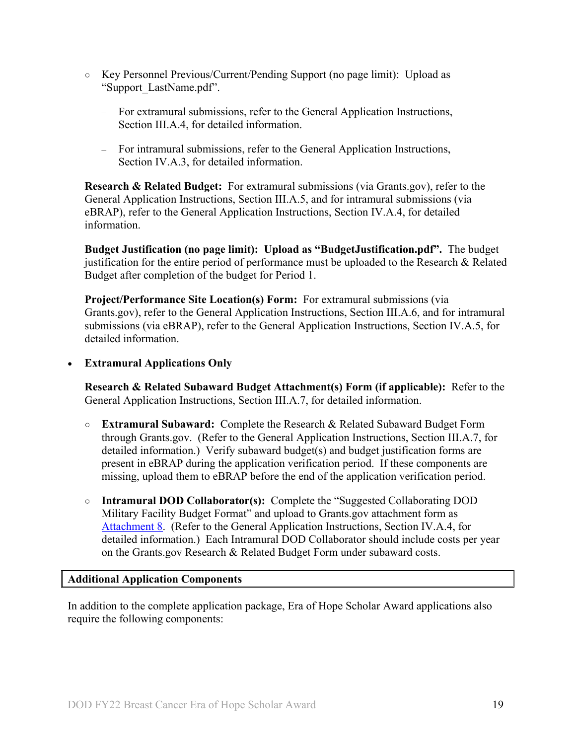- Key Personnel Previous/Current/Pending Support (no page limit): Upload as "Support\_LastName.pdf".
	- For extramural submissions, refer to the General Application Instructions, Section III.A.4, for detailed information.
	- For intramural submissions, refer to the General Application Instructions, Section IV.A.3, for detailed information.

<span id="page-18-0"></span>**Research & Related Budget:** For extramural submissions (via Grants.gov), refer to the General Application Instructions, Section III.A.5, and for intramural submissions (via eBRAP), refer to the General Application Instructions, Section IV.A.4, for detailed information.

**Budget Justification (no page limit): Upload as "BudgetJustification.pdf".** The budget justification for the entire period of performance must be uploaded to the Research & Related Budget after completion of the budget for Period 1.

<span id="page-18-1"></span>**Project/Performance Site Location(s) Form:** For extramural submissions (via Grants.gov), refer to the General Application Instructions, Section III.A.6, and for intramural submissions (via eBRAP), refer to the General Application Instructions, Section IV.A.5, for detailed information.

• **Extramural Applications Only**

<span id="page-18-2"></span>**Research & Related Subaward Budget Attachment(s) Form (if applicable):** Refer to the General Application Instructions, Section III.A.7, for detailed information.

- **Extramural Subaward:** Complete the Research & Related Subaward Budget Form through Grants.gov. (Refer to the General Application Instructions, Section III.A.7, for detailed information.) Verify subaward budget(s) and budget justification forms are present in eBRAP during the application verification period. If these components are missing, upload them to eBRAP before the end of the application verification period.
- **Intramural DOD Collaborator(s):** Complete the "Suggested Collaborating DOD Military Facility Budget Format" and upload to Grants.gov attachment form as [Attachment 8.](#page-16-0) (Refer to the General Application Instructions, Section IV.A.4, for detailed information.) Each Intramural DOD Collaborator should include costs per year on the Grants.gov Research & Related Budget Form under subaward costs.

#### <span id="page-18-3"></span>**Additional Application Components**

In addition to the complete application package, Era of Hope Scholar Award applications also require the following components: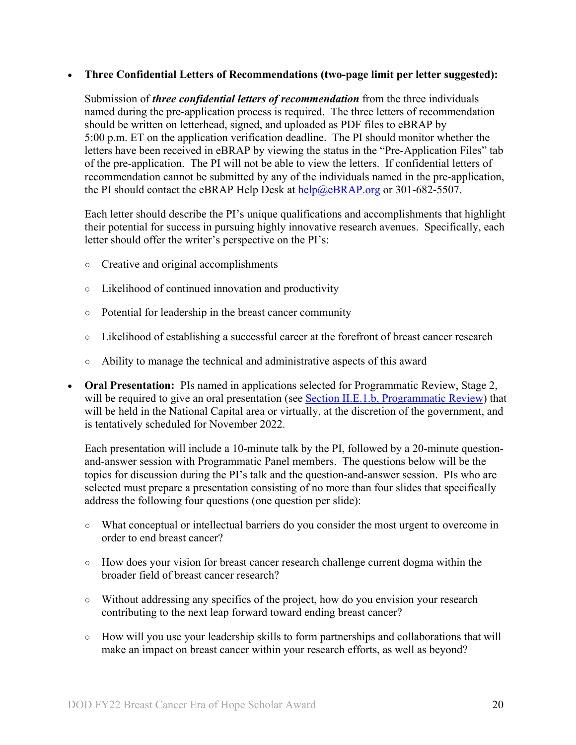#### • **Three Confidential Letters of Recommendations (two-page limit per letter suggested):**

Submission of *three confidential letters of recommendation* from the three individuals named during the pre-application process is required. The three letters of recommendation should be written on letterhead, signed, and uploaded as PDF files to eBRAP by 5:00 p.m. ET on the application verification deadline. The PI should monitor whether the letters have been received in eBRAP by viewing the status in the "Pre-Application Files" tab of the pre-application. The PI will not be able to view the letters. If confidential letters of recommendation cannot be submitted by any of the individuals named in the pre-application, the PI should contact the eBRAP Help Desk at  $\frac{help(@eBRAP.org)}{help(@eBRAP.org)}$  or 301-682-5507.

Each letter should describe the PI's unique qualifications and accomplishments that highlight their potential for success in pursuing highly innovative research avenues. Specifically, each letter should offer the writer's perspective on the PI's:

- Creative and original accomplishments
- Likelihood of continued innovation and productivity
- Potential for leadership in the breast cancer community
- Likelihood of establishing a successful career at the forefront of breast cancer research
- Ability to manage the technical and administrative aspects of this award
- **Oral Presentation:** PIs named in applications selected for Programmatic Review, Stage 2, will be required to give an oral presentation (see [Section II.E.1.b, Programmatic Review\)](#page-24-1) that will be held in the National Capital area or virtually, at the discretion of the government, and is tentatively scheduled for November 2022.

Each presentation will include a 10-minute talk by the PI, followed by a 20-minute questionand-answer session with Programmatic Panel members. The questions below will be the topics for discussion during the PI's talk and the question-and-answer session. PIs who are selected must prepare a presentation consisting of no more than four slides that specifically address the following four questions (one question per slide):

- What conceptual or intellectual barriers do you consider the most urgent to overcome in order to end breast cancer?
- How does your vision for breast cancer research challenge current dogma within the broader field of breast cancer research?
- Without addressing any specifics of the project, how do you envision your research contributing to the next leap forward toward ending breast cancer?
- $\circ$  How will you use your leadership skills to form partnerships and collaborations that will make an impact on breast cancer within your research efforts, as well as beyond?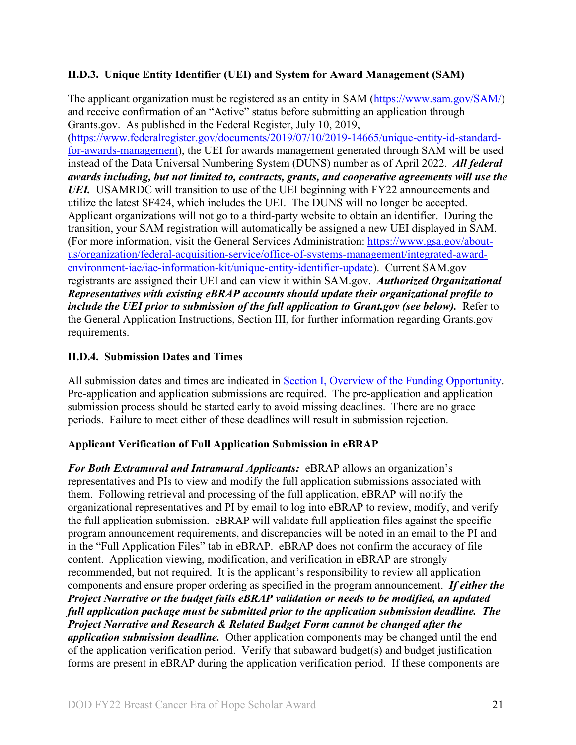#### <span id="page-20-0"></span>**II.D.3. Unique Entity Identifier (UEI) and System for Award Management (SAM)**

The applicant organization must be registered as an entity in SAM [\(https://www.sam.gov/SAM/\)](https://www.sam.gov/SAM/) and receive confirmation of an "Active" status before submitting an application through Grants.gov. As published in the Federal Register, July 10, 2019, [\(https://www.federalregister.gov/documents/2019/07/10/2019-14665/unique-entity-id-standard](https://www.federalregister.gov/documents/2019/07/10/2019-14665/unique-entity-id-standard-for-awards-management)[for-awards-management\)](https://www.federalregister.gov/documents/2019/07/10/2019-14665/unique-entity-id-standard-for-awards-management), the UEI for awards management generated through SAM will be used instead of the Data Universal Numbering System (DUNS) number as of April 2022. *All federal awards including, but not limited to, contracts, grants, and cooperative agreements will use the UEI.* USAMRDC will transition to use of the UEI beginning with FY22 announcements and utilize the latest SF424, which includes the UEI. The DUNS will no longer be accepted. Applicant organizations will not go to a third-party website to obtain an identifier. During the transition, your SAM registration will automatically be assigned a new UEI displayed in SAM. (For more information, visit the General Services Administration: [https://www.gsa.gov/about](https://www.gsa.gov/about-us/organization/federal-acquisition-service/office-of-systems-management/integrated-award-environment-iae/iae-information-kit/unique-entity-identifier-update)[us/organization/federal-acquisition-service/office-of-systems-management/integrated-award](https://www.gsa.gov/about-us/organization/federal-acquisition-service/office-of-systems-management/integrated-award-environment-iae/iae-information-kit/unique-entity-identifier-update)[environment-iae/iae-information-kit/unique-entity-identifier-update\)](https://www.gsa.gov/about-us/organization/federal-acquisition-service/office-of-systems-management/integrated-award-environment-iae/iae-information-kit/unique-entity-identifier-update). Current SAM.gov registrants are assigned their UEI and can view it within SAM.gov. *Authorized Organizational Representatives with existing eBRAP accounts should update their organizational profile to include the UEI prior to submission of the full application to Grant.gov (see below).* Refer to the General Application Instructions, Section III, for further information regarding Grants.gov requirements.

### <span id="page-20-1"></span>**II.D.4. Submission Dates and Times**

All submission dates and times are indicated in [Section I, Overview of the Funding Opportunity.](#page-0-1) Pre-application and application submissions are required. The pre-application and application submission process should be started early to avoid missing deadlines. There are no grace periods. Failure to meet either of these deadlines will result in submission rejection.

#### <span id="page-20-2"></span>**Applicant Verification of Full Application Submission in eBRAP**

*For Both Extramural and Intramural Applicants:* eBRAP allows an organization's representatives and PIs to view and modify the full application submissions associated with them. Following retrieval and processing of the full application, eBRAP will notify the organizational representatives and PI by email to log into eBRAP to review, modify, and verify the full application submission. eBRAP will validate full application files against the specific program announcement requirements, and discrepancies will be noted in an email to the PI and in the "Full Application Files" tab in eBRAP. eBRAP does not confirm the accuracy of file content. Application viewing, modification, and verification in eBRAP are strongly recommended, but not required. It is the applicant's responsibility to review all application components and ensure proper ordering as specified in the program announcement. *If either the Project Narrative or the budget fails eBRAP validation or needs to be modified, an updated full application package must be submitted prior to the application submission deadline. The Project Narrative and Research & Related Budget Form cannot be changed after the application submission deadline.* Other application components may be changed until the end of the [application verification period.](#page-0-0) Verify that subaward budget(s) and budget justification forms are present in eBRAP during the application verification period. If these components are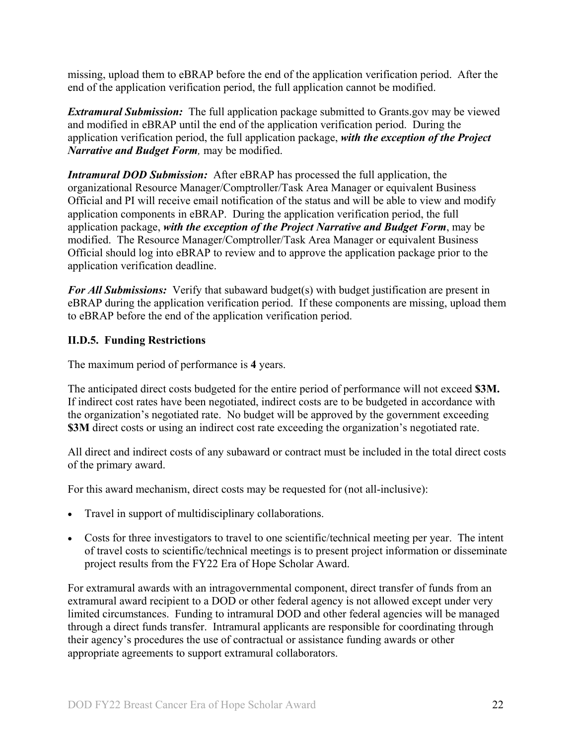missing, upload them to eBRAP before the end of the application verification period. After the end of the application verification period, the full application cannot be modified.

*Extramural Submission:* The full application package submitted to Grants.gov may be viewed and modified in eBRAP until the end of the application verification period. During the application verification period, the full application package, *with the exception of the Project Narrative and Budget Form,* may be modified.

*Intramural DOD Submission:* After eBRAP has processed the full application, the organizational Resource Manager/Comptroller/Task Area Manager or equivalent Business Official and PI will receive email notification of the status and will be able to view and modify application components in eBRAP. During the application verification period, the full application package, *with the exception of the Project Narrative and Budget Form*, may be modified. The Resource Manager/Comptroller/Task Area Manager or equivalent Business Official should log into eBRAP to review and to approve the application package prior to the application verification deadline.

*For All Submissions:* Verify that subaward budget(s) with budget justification are present in eBRAP during the application verification period. If these components are missing, upload them to eBRAP before the end of the application verification period.

#### <span id="page-21-0"></span>**II.D.5. Funding Restrictions**

The maximum period of performance is **4** years.

The anticipated direct costs budgeted for the entire period of performance will not exceed **\$3M.** If indirect cost rates have been negotiated, indirect costs are to be budgeted in accordance with the organization's negotiated rate. No budget will be approved by the government exceeding **\$3M** direct costs or using an indirect cost rate exceeding the organization's negotiated rate.

All direct and indirect costs of any subaward or contract must be included in the total direct costs of the primary award.

For this award mechanism, direct costs may be requested for (not all-inclusive):

- Travel in support of multidisciplinary collaborations.
- Costs for three investigators to travel to one scientific/technical meeting per year. The intent of travel costs to scientific/technical meetings is to present project information or disseminate project results from the FY22 Era of Hope Scholar Award.

For extramural awards with an intragovernmental component, direct transfer of funds from an extramural award recipient to a DOD or other federal agency is not allowed except under very limited circumstances. Funding to intramural DOD and other federal agencies will be managed through a direct funds transfer. Intramural applicants are responsible for coordinating through their agency's procedures the use of contractual or assistance funding awards or other appropriate agreements to support extramural collaborators.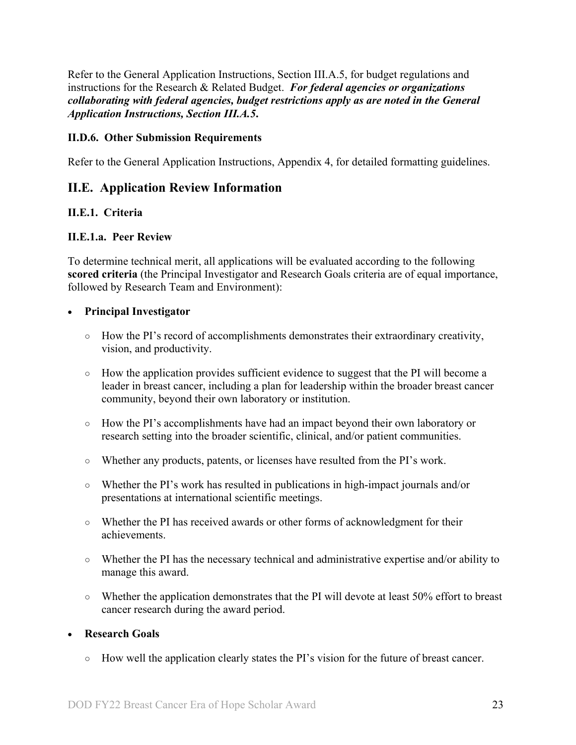Refer to the General Application Instructions, Section III.A.5, for budget regulations and instructions for the Research & Related Budget. *For federal agencies or organizations collaborating with federal agencies, budget restrictions apply as are noted in the General Application Instructions, Section III.A.5***.**

#### <span id="page-22-0"></span>**II.D.6. Other Submission Requirements**

Refer to the General Application Instructions, Appendix 4, for detailed formatting guidelines.

### <span id="page-22-1"></span>**II.E. Application Review Information**

#### <span id="page-22-2"></span>**II.E.1. Criteria**

#### **II.E.1.a. Peer Review**

To determine technical merit, all applications will be evaluated according to the following **scored criteria** (the Principal Investigator and Research Goals criteria are of equal importance, followed by Research Team and Environment):

#### • **Principal Investigator**

- How the PI's record of accomplishments demonstrates their extraordinary creativity, vision, and productivity.
- How the application provides sufficient evidence to suggest that the PI will become a leader in breast cancer, including a plan for leadership within the broader breast cancer community, beyond their own laboratory or institution.
- How the PI's accomplishments have had an impact beyond their own laboratory or research setting into the broader scientific, clinical, and/or patient communities.
- Whether any products, patents, or licenses have resulted from the PI's work.
- Whether the PI's work has resulted in publications in high-impact journals and/or presentations at international scientific meetings.
- Whether the PI has received awards or other forms of acknowledgment for their achievements.
- Whether the PI has the necessary technical and administrative expertise and/or ability to manage this award.
- $\circ$  Whether the application demonstrates that the PI will devote at least 50% effort to breast cancer research during the award period.

#### • **Research Goals**

○ How well the application clearly states the PI's vision for the future of breast cancer.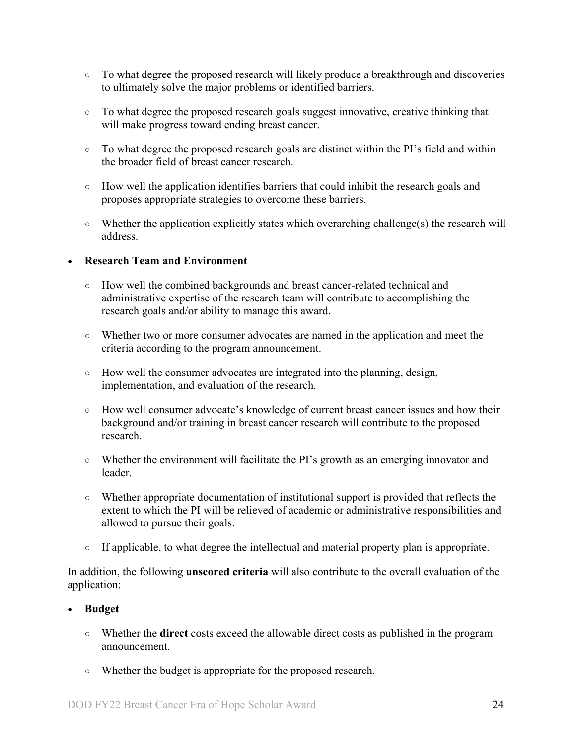- To what degree the proposed research will likely produce a breakthrough and discoveries to ultimately solve the major problems or identified barriers.
- To what degree the proposed research goals suggest innovative, creative thinking that will make progress toward ending breast cancer.
- To what degree the proposed research goals are distinct within the PI's field and within the broader field of breast cancer research.
- How well the application identifies barriers that could inhibit the research goals and proposes appropriate strategies to overcome these barriers.
- $\circ$  Whether the application explicitly states which overarching challenge(s) the research will address.

#### • **Research Team and Environment**

- How well the combined backgrounds and breast cancer-related technical and administrative expertise of the research team will contribute to accomplishing the research goals and/or ability to manage this award.
- Whether two or more consumer advocates are named in the application and meet the criteria according to the program announcement.
- How well the consumer advocates are integrated into the planning, design, implementation, and evaluation of the research.
- How well consumer advocate's knowledge of current breast cancer issues and how their background and/or training in breast cancer research will contribute to the proposed research.
- Whether the environment will facilitate the PI's growth as an emerging innovator and leader.
- Whether appropriate documentation of institutional support is provided that reflects the extent to which the PI will be relieved of academic or administrative responsibilities and allowed to pursue their goals.
- If applicable, to what degree the intellectual and material property plan is appropriate.

In addition, the following **unscored criteria** will also contribute to the overall evaluation of the application:

#### • **Budget**

- Whether the **direct** costs exceed the allowable direct costs as published in the program announcement.
- Whether the budget is appropriate for the proposed research.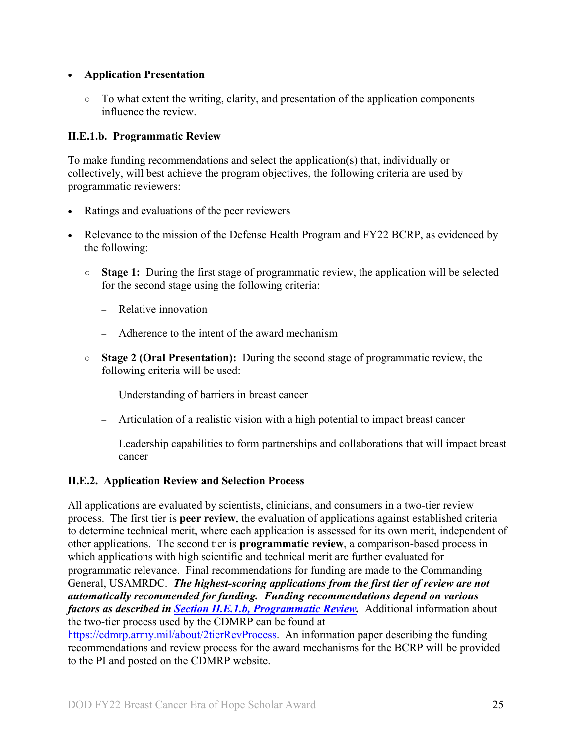#### • **Application Presentation**

 $\circ$  To what extent the writing, clarity, and presentation of the application components influence the review.

#### <span id="page-24-1"></span>**II.E.1.b. Programmatic Review**

To make funding recommendations and select the application(s) that, individually or collectively, will best achieve the program objectives, the following criteria are used by programmatic reviewers:

- Ratings and evaluations of the peer reviewers
- Relevance to the mission of the Defense Health Program and FY22 BCRP, as evidenced by the following:
	- **Stage 1:** During the first stage of programmatic review, the application will be selected for the second stage using the following criteria:
		- Relative innovation
		- Adherence to the intent of the award mechanism
	- **Stage 2 (Oral Presentation):** During the second stage of programmatic review, the following criteria will be used:
		- Understanding of barriers in breast cancer
		- Articulation of a realistic vision with a high potential to impact breast cancer
		- Leadership capabilities to form partnerships and collaborations that will impact breast cancer

### <span id="page-24-0"></span>**II.E.2. Application Review and Selection Process**

All applications are evaluated by scientists, clinicians, and consumers in a two-tier review process. The first tier is **peer review**, the evaluation of applications against established criteria to determine technical merit, where each application is assessed for its own merit, independent of other applications. The second tier is **programmatic review**, a comparison-based process in which applications with high scientific and technical merit are further evaluated for programmatic relevance. Final recommendations for funding are made to the Commanding General, USAMRDC. *The highest-scoring applications from the first tier of review are not automatically recommended for funding. Funding recommendations depend on various factors as described in Section [II.E.1.b, Programmatic Review.](#page-24-1)* Additional information about the two-tier process used by the CDMRP can be found at

[https://cdmrp.army.mil/about/2tierRevProcess.](http://cdmrp.army.mil/about/2tierRevProcess) An information paper describing the funding recommendations and review process for the award mechanisms for the BCRP will be provided to the PI and posted on the CDMRP website.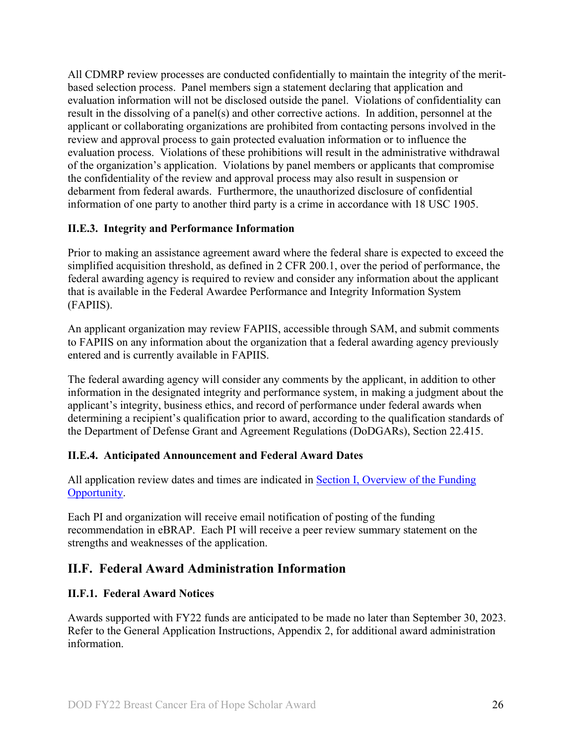All CDMRP review processes are conducted confidentially to maintain the integrity of the meritbased selection process. Panel members sign a statement declaring that application and evaluation information will not be disclosed outside the panel. Violations of confidentiality can result in the dissolving of a panel(s) and other corrective actions. In addition, personnel at the applicant or collaborating organizations are prohibited from contacting persons involved in the review and approval process to gain protected evaluation information or to influence the evaluation process. Violations of these prohibitions will result in the administrative withdrawal of the organization's application. Violations by panel members or applicants that compromise the confidentiality of the review and approval process may also result in suspension or debarment from federal awards. Furthermore, the unauthorized disclosure of confidential information of one party to another third party is a crime in accordance with 18 USC 1905.

#### <span id="page-25-0"></span>**II.E.3. Integrity and Performance Information**

Prior to making an assistance agreement award where the federal share is expected to exceed the simplified acquisition threshold, as defined in 2 CFR 200.1, over the period of performance, the federal awarding agency is required to review and consider any information about the applicant that is available in the Federal Awardee Performance and Integrity Information System (FAPIIS).

An applicant organization may review FAPIIS, accessible through SAM, and submit comments to FAPIIS on any information about the organization that a federal awarding agency previously entered and is currently available in FAPIIS.

The federal awarding agency will consider any comments by the applicant, in addition to other information in the designated integrity and performance system, in making a judgment about the applicant's integrity, business ethics, and record of performance under federal awards when determining a recipient's qualification prior to award, according to the qualification standards of the Department of Defense Grant and Agreement Regulations (DoDGARs), Section 22.415.

#### <span id="page-25-1"></span>**II.E.4. Anticipated Announcement and Federal Award Dates**

All application review dates and times are indicated in [Section I, Overview of the Funding](#page-0-1)  [Opportunity.](#page-0-1)

Each PI and organization will receive email notification of posting of the funding recommendation in eBRAP. Each PI will receive a peer review summary statement on the strengths and weaknesses of the application.

### <span id="page-25-2"></span>**II.F. Federal Award Administration Information**

#### <span id="page-25-3"></span>**II.F.1. Federal Award Notices**

Awards supported with FY22 funds are anticipated to be made no later than September 30, 2023. Refer to the General Application Instructions, Appendix 2, for additional award administration information.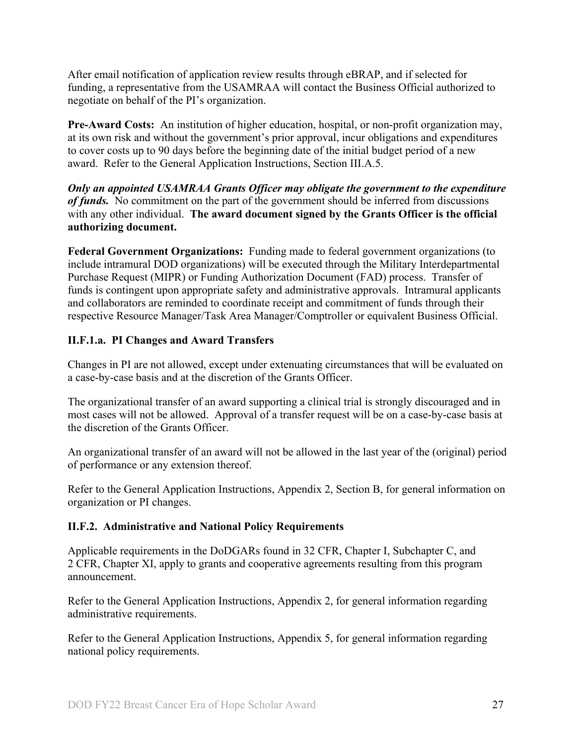After email notification of application review results through eBRAP, and if selected for funding, a representative from the USAMRAA will contact the Business Official authorized to negotiate on behalf of the PI's organization.

**Pre-Award Costs:** An institution of higher education, hospital, or non-profit organization may, at its own risk and without the government's prior approval, incur obligations and expenditures to cover costs up to 90 days before the beginning date of the initial budget period of a new award. Refer to the General Application Instructions, Section III.A.5.

*Only an appointed USAMRAA Grants Officer may obligate the government to the expenditure of funds.* No commitment on the part of the government should be inferred from discussions with any other individual. **The award document signed by the Grants Officer is the official authorizing document.**

**Federal Government Organizations:**Funding made to federal government organizations (to include intramural DOD organizations) will be executed through the Military Interdepartmental Purchase Request (MIPR) or Funding Authorization Document (FAD) process. Transfer of funds is contingent upon appropriate safety and administrative approvals. Intramural applicants and collaborators are reminded to coordinate receipt and commitment of funds through their respective Resource Manager/Task Area Manager/Comptroller or equivalent Business Official.

#### **II.F.1.a. PI Changes and Award Transfers**

Changes in PI are not allowed, except under extenuating circumstances that will be evaluated on a case-by-case basis and at the discretion of the Grants Officer.

The organizational transfer of an award supporting a clinical trial is strongly discouraged and in most cases will not be allowed. Approval of a transfer request will be on a case-by-case basis at the discretion of the Grants Officer.

An organizational transfer of an award will not be allowed in the last year of the (original) period of performance or any extension thereof.

Refer to the General Application Instructions, Appendix 2, Section B, for general information on organization or PI changes.

#### <span id="page-26-0"></span>**II.F.2. Administrative and National Policy Requirements**

Applicable requirements in the DoDGARs found in 32 CFR, Chapter I, Subchapter C, and 2 CFR, Chapter XI, apply to grants and cooperative agreements resulting from this program announcement.

Refer to the General Application Instructions, Appendix 2, for general information regarding administrative requirements.

Refer to the General Application Instructions, Appendix 5, for general information regarding national policy requirements.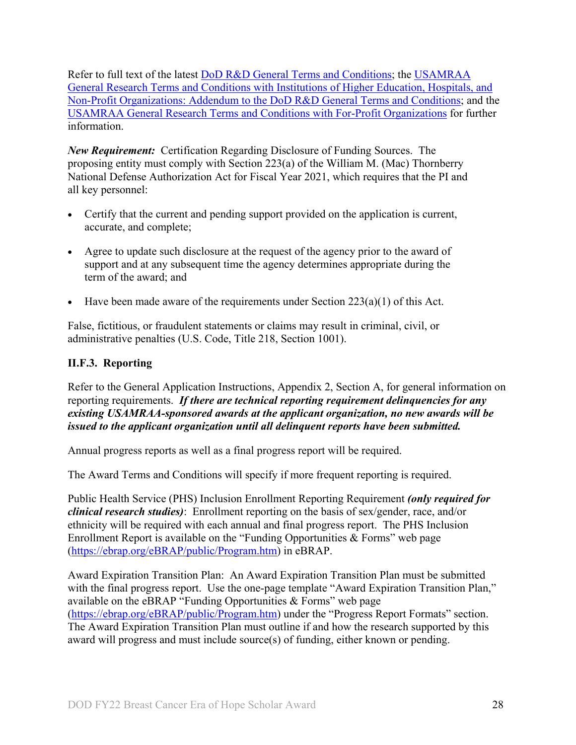Refer to full text of the latest DoD [R&D General Terms and Conditions;](https://www.onr.navy.mil/work-with-us/manage-your-award/manage-grant-award/grants-terms-conditions) the [USAMRAA](https://www.usamraa.army.mil/Pages/Resources.aspx)  [General Research Terms and Conditions with Institutions of Higher Education, Hospitals, and](https://www.usamraa.army.mil/Pages/Resources.aspx)  [Non-Profit Organizations: Addendum to the DoD](https://www.usamraa.army.mil/Pages/Resources.aspx) R&D General Terms and Conditions; and the [USAMRAA General Research Terms and Conditions with For-Profit Organizations](https://www.usamraa.army.mil/Pages/Resources.aspx) for further information.

*New Requirement:* Certification Regarding Disclosure of Funding Sources. The proposing entity must comply with Section 223(a) of the William M. (Mac) Thornberry National Defense Authorization Act for Fiscal Year 2021, which requires that the PI and all key personnel:

- Certify that the current and pending support provided on the application is current, accurate, and complete;
- Agree to update such disclosure at the request of the agency prior to the award of support and at any subsequent time the agency determines appropriate during the term of the award; and
- Have been made aware of the requirements under Section  $223(a)(1)$  of this Act.

False, fictitious, or fraudulent statements or claims may result in criminal, civil, or administrative penalties (U.S. Code, Title 218, Section 1001).

#### <span id="page-27-0"></span>**II.F.3. Reporting**

Refer to the General Application Instructions, Appendix 2, Section A, for general information on reporting requirements. *If there are technical reporting requirement delinquencies for any existing USAMRAA-sponsored awards at the applicant organization, no new awards will be issued to the applicant organization until all delinquent reports have been submitted.*

Annual progress reports as well as a final progress report will be required.

The Award Terms and Conditions will specify if more frequent reporting is required.

Public Health Service (PHS) Inclusion Enrollment Reporting Requirement *(only required for clinical research studies)*: Enrollment reporting on the basis of sex/gender, race, and/or ethnicity will be required with each annual and final progress report. The PHS Inclusion Enrollment Report is available on the "Funding Opportunities & Forms" web page [\(https://ebrap.org/eBRAP/public/Program.htm\)](https://ebrap.org/eBRAP/public/Program.htm) in eBRAP.

Award Expiration Transition Plan: An Award Expiration Transition Plan must be submitted with the final progress report. Use the one-page template "Award Expiration Transition Plan," available on the eBRAP "Funding Opportunities & Forms" web page [\(https://ebrap.org/eBRAP/public/Program.htm\)](https://ebrap.org/eBRAP/public/Program.htm) under the "Progress Report Formats" section. The Award Expiration Transition Plan must outline if and how the research supported by this award will progress and must include source(s) of funding, either known or pending.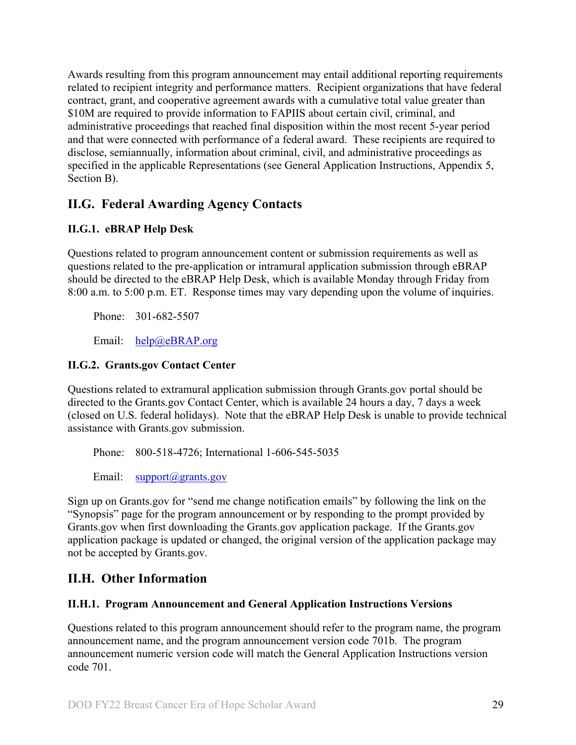Awards resulting from this program announcement may entail additional reporting requirements related to recipient integrity and performance matters. Recipient organizations that have federal contract, grant, and cooperative agreement awards with a cumulative total value greater than \$10M are required to provide information to FAPIIS about certain civil, criminal, and administrative proceedings that reached final disposition within the most recent 5-year period and that were connected with performance of a federal award. These recipients are required to disclose, semiannually, information about criminal, civil, and administrative proceedings as specified in the applicable Representations (see General Application Instructions, Appendix 5, Section B).

## <span id="page-28-0"></span>**II.G. Federal Awarding Agency Contacts**

#### <span id="page-28-1"></span>**II.G.1. eBRAP Help Desk**

Questions related to program announcement content or submission requirements as well as questions related to the pre-application or intramural application submission through eBRAP should be directed to the eBRAP Help Desk, which is available Monday through Friday from 8:00 a.m. to 5:00 p.m. ET. Response times may vary depending upon the volume of inquiries.

Phone: 301-682-5507

Email: [help@eBRAP.org](mailto:help@eBRAP.org)

#### <span id="page-28-2"></span>**II.G.2. Grants.gov Contact Center**

Questions related to extramural application submission through Grants.gov portal should be directed to the Grants.gov Contact Center, which is available 24 hours a day, 7 days a week (closed on U.S. federal holidays). Note that the eBRAP Help Desk is unable to provide technical assistance with Grants.gov submission.

Phone: 800-518-4726; International 1-606-545-5035

Email: [support@grants.gov](mailto:support@grants.gov)

Sign up on Grants.gov for "send me change notification emails" by following the link on the "Synopsis" page for the program announcement or by responding to the prompt provided by Grants.gov when first downloading the Grants.gov application package. If the Grants.gov application package is updated or changed, the original version of the application package may not be accepted by Grants.gov.

## <span id="page-28-3"></span>**II.H. Other Information**

#### <span id="page-28-4"></span>**II.H.1. Program Announcement and General Application Instructions Versions**

Questions related to this program announcement should refer to the program name, the program announcement name, and the program announcement version code 701b. The program announcement numeric version code will match the General Application Instructions version code 701.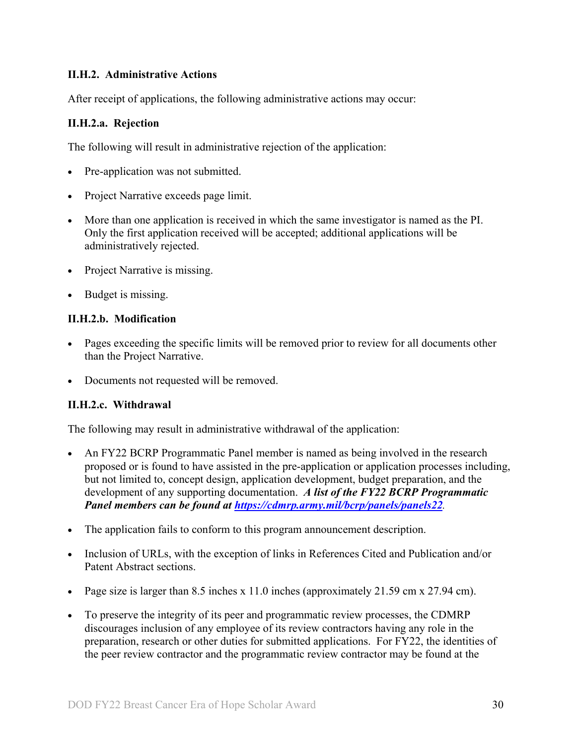#### <span id="page-29-0"></span>**II.H.2. Administrative Actions**

After receipt of applications, the following administrative actions may occur:

#### **II.H.2.a. Rejection**

The following will result in administrative rejection of the application:

- Pre-application was not submitted.
- Project Narrative exceeds page limit.
- More than one application is received in which the same investigator is named as the PI. Only the first application received will be accepted; additional applications will be administratively rejected.
- Project Narrative is missing.
- Budget is missing.

#### **II.H.2.b. Modification**

- Pages exceeding the specific limits will be removed prior to review for all documents other than the Project Narrative.
- Documents not requested will be removed.

#### <span id="page-29-1"></span>**II.H.2.c. Withdrawal**

The following may result in administrative withdrawal of the application:

- An FY22 BCRP Programmatic Panel member is named as being involved in the research proposed or is found to have assisted in the pre-application or application processes including, but not limited to, concept design, application development, budget preparation, and the development of any supporting documentation. *A list of the FY22 BCRP Programmatic Panel members can be found at<https://cdmrp.army.mil/bcrp/panels/panels22>.*
- The application fails to conform to this program announcement description.
- Inclusion of URLs, with the exception of links in References Cited and Publication and/or Patent Abstract sections.
- Page size is larger than 8.5 inches x 11.0 inches (approximately 21.59 cm x 27.94 cm).
- To preserve the integrity of its peer and programmatic review processes, the CDMRP discourages inclusion of any employee of its review contractors having any role in the preparation, research or other duties for submitted applications. For FY22, the identities of the peer review contractor and the programmatic review contractor may be found at the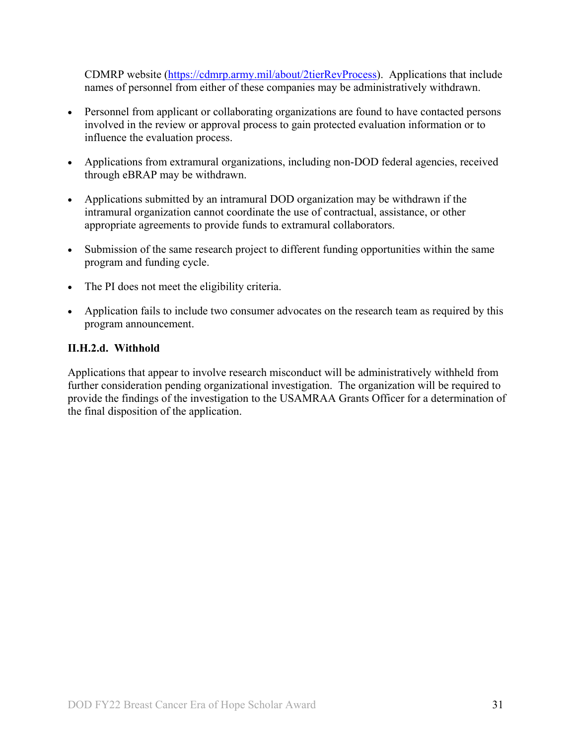CDMRP website [\(https://cdmrp.army.mil/about/2tierRevProcess\)](https://cdmrp.army.mil/about/2tierRevProcess). Applications that include names of personnel from either of these companies may be administratively withdrawn.

- Personnel from applicant or collaborating organizations are found to have contacted persons involved in the review or approval process to gain protected evaluation information or to influence the evaluation process.
- Applications from extramural organizations, including non-DOD federal agencies, received through eBRAP may be withdrawn.
- Applications submitted by an intramural DOD organization may be withdrawn if the intramural organization cannot coordinate the use of contractual, assistance, or other appropriate agreements to provide funds to extramural collaborators.
- Submission of the same research project to different funding opportunities within the same program and funding cycle.
- The PI does not meet the eligibility criteria.
- Application fails to include two consumer advocates on the research team as required by this program announcement.

#### **II.H.2.d. Withhold**

Applications that appear to involve research misconduct will be administratively withheld from further consideration pending organizational investigation. The organization will be required to provide the findings of the investigation to the USAMRAA Grants Officer for a determination of the final disposition of the application.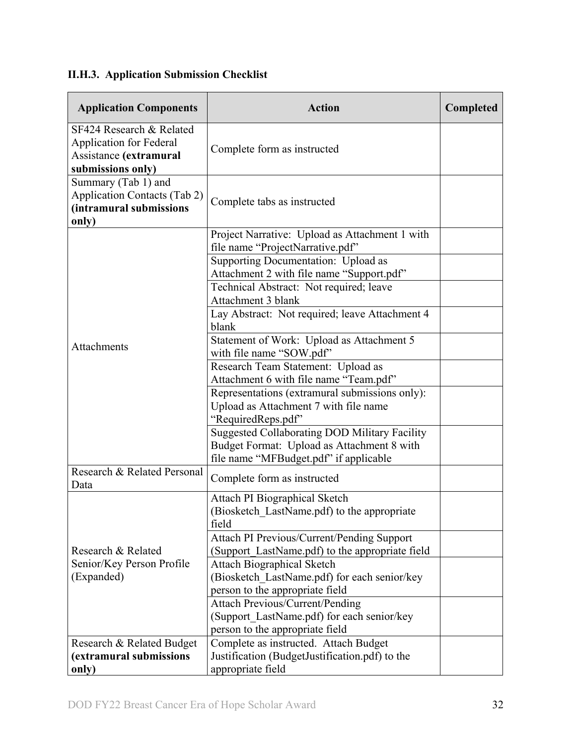# <span id="page-31-0"></span>**II.H.3. Application Submission Checklist**

| <b>Application Components</b>                                                                             | <b>Action</b>                                                                                                                                | Completed |
|-----------------------------------------------------------------------------------------------------------|----------------------------------------------------------------------------------------------------------------------------------------------|-----------|
| SF424 Research & Related<br><b>Application for Federal</b><br>Assistance (extramural<br>submissions only) | Complete form as instructed                                                                                                                  |           |
| Summary (Tab 1) and<br><b>Application Contacts (Tab 2)</b><br>(intramural submissions<br>only)            | Complete tabs as instructed                                                                                                                  |           |
|                                                                                                           | Project Narrative: Upload as Attachment 1 with<br>file name "ProjectNarrative.pdf"                                                           |           |
|                                                                                                           | Supporting Documentation: Upload as<br>Attachment 2 with file name "Support.pdf"<br>Technical Abstract: Not required; leave                  |           |
|                                                                                                           | Attachment 3 blank<br>Lay Abstract: Not required; leave Attachment 4                                                                         |           |
|                                                                                                           | blank<br>Statement of Work: Upload as Attachment 5                                                                                           |           |
| Attachments                                                                                               | with file name "SOW.pdf"                                                                                                                     |           |
|                                                                                                           | Research Team Statement: Upload as<br>Attachment 6 with file name "Team.pdf"                                                                 |           |
|                                                                                                           | Representations (extramural submissions only):<br>Upload as Attachment 7 with file name<br>"RequiredReps.pdf"                                |           |
|                                                                                                           | <b>Suggested Collaborating DOD Military Facility</b><br>Budget Format: Upload as Attachment 8 with<br>file name "MFBudget.pdf" if applicable |           |
| Research & Related Personal<br>Data                                                                       | Complete form as instructed                                                                                                                  |           |
|                                                                                                           | Attach PI Biographical Sketch<br>(Biosketch_LastName.pdf) to the appropriate<br>field                                                        |           |
| Research & Related                                                                                        | Attach PI Previous/Current/Pending Support<br>(Support_LastName.pdf) to the appropriate field                                                |           |
| Senior/Key Person Profile<br>(Expanded)                                                                   | <b>Attach Biographical Sketch</b><br>(Biosketch LastName.pdf) for each senior/key<br>person to the appropriate field                         |           |
|                                                                                                           | <b>Attach Previous/Current/Pending</b><br>(Support LastName.pdf) for each senior/key<br>person to the appropriate field                      |           |
| Research & Related Budget<br>(extramural submissions<br>only)                                             | Complete as instructed. Attach Budget<br>Justification (BudgetJustification.pdf) to the<br>appropriate field                                 |           |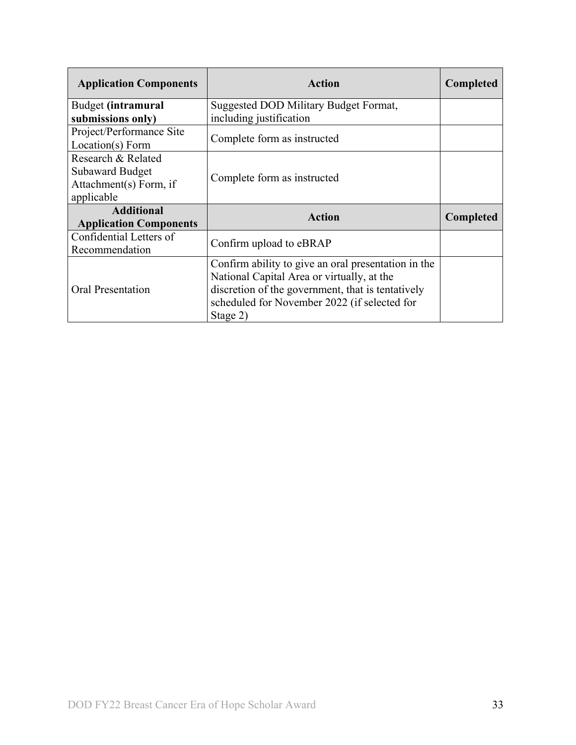| <b>Application Components</b> | Action                                              | Completed |
|-------------------------------|-----------------------------------------------------|-----------|
| Budget (intramural            | Suggested DOD Military Budget Format,               |           |
| submissions only)             | including justification                             |           |
| Project/Performance Site      |                                                     |           |
| Location(s) Form              | Complete form as instructed                         |           |
| Research & Related            |                                                     |           |
| <b>Subaward Budget</b>        | Complete form as instructed                         |           |
| Attachment(s) Form, if        |                                                     |           |
| applicable                    |                                                     |           |
| <b>Additional</b>             | <b>Action</b>                                       | Completed |
| <b>Application Components</b> |                                                     |           |
| Confidential Letters of       | Confirm upload to eBRAP                             |           |
| Recommendation                |                                                     |           |
|                               | Confirm ability to give an oral presentation in the |           |
|                               | National Capital Area or virtually, at the          |           |
| <b>Oral Presentation</b>      | discretion of the government, that is tentatively   |           |
|                               | scheduled for November 2022 (if selected for        |           |
|                               | Stage 2)                                            |           |